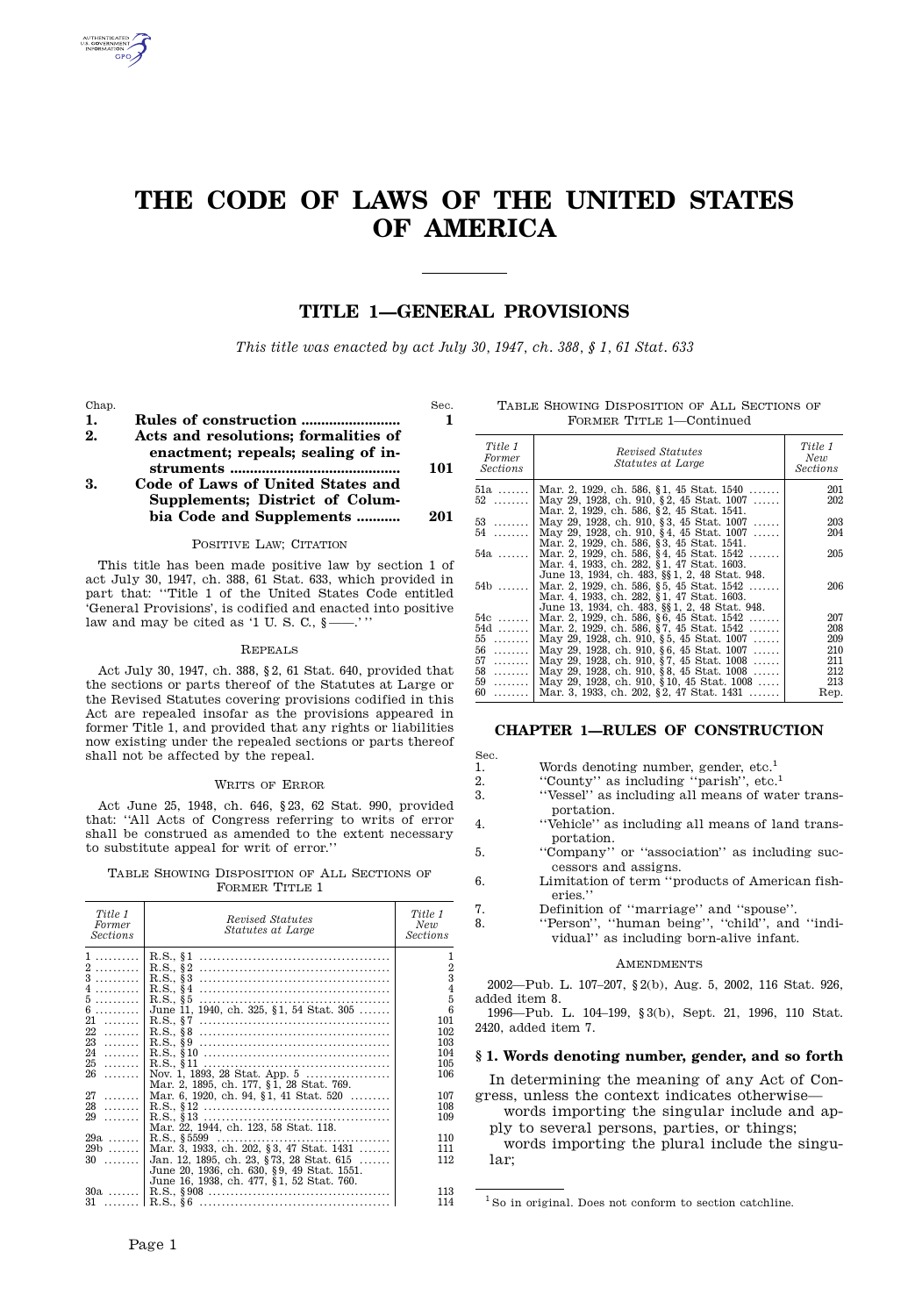# **THE CODE OF LAWS OF THE UNITED STATES OF AMERICA**

# **TITLE 1—GENERAL PROVISIONS**

*This title was enacted by act July 30, 1947, ch. 388, § 1, 61 Stat. 633*

Chap. Sec.

| 1. |                                                                            |     |                   |
|----|----------------------------------------------------------------------------|-----|-------------------|
| 2. | Acts and resolutions; formalities of<br>enactment; repeals; sealing of in- |     | Title 1<br>Former |
|    |                                                                            | 101 | <b>Sections</b>   |
| 3. | Code of Laws of United States and                                          |     | $51a$             |
|    | Supplements; District of Colum-                                            |     | $52$              |
|    | bia Code and Supplements                                                   | 201 |                   |

# POSITIVE LAW; CITATION

This title has been made positive law by section 1 of act July 30, 1947, ch. 388, 61 Stat. 633, which provided in part that: "Title 1 of the United States Code entitled 'General Provisions', is codified and enacted into positive law and may be cited as '1 U. S. C.,  $\S$ -

#### Repeals

Act July 30, 1947, ch. 388, § 2, 61 Stat. 640, provided that the sections or parts thereof of the Statutes at Large or the Revised Statutes covering provisions codified in this Act are repealed insofar as the provisions appeared in former Title 1, and provided that any rights or liabilities now existing under the repealed sections or parts thereof shall not be affected by the repeal.

#### WRITS OF ERROR

Act June 25, 1948, ch. 646, § 23, 62 Stat. 990, provided that: "All Acts of Congress referring to writs of error shall be construed as amended to the extent necessary to substitute appeal for writ of error."

TABLE SHOWING DISPOSITION OF ALL SECTIONS OF 6. FORMER TITLE 1

| Title 1<br>Former<br><b>Sections</b>                                                                                                               | Revised Statutes<br><i>Statutes at Large</i>                                                                                                                                                                                                                                                                                                                                                                                                                                                          | Title 1<br>New<br>Sections                                                                                                                      | 7.<br>8.                                                                                                 |
|----------------------------------------------------------------------------------------------------------------------------------------------------|-------------------------------------------------------------------------------------------------------------------------------------------------------------------------------------------------------------------------------------------------------------------------------------------------------------------------------------------------------------------------------------------------------------------------------------------------------------------------------------------------------|-------------------------------------------------------------------------------------------------------------------------------------------------|----------------------------------------------------------------------------------------------------------|
| 1.<br>$2 \dots \dots \dots$<br>3<br>$4$<br>5.<br>$6$<br>$21 \ldots \ldots$<br>$22$<br>$27 \dots 1$<br>$29$<br>$29a$<br>$29b$<br>$30 \ldots \ldots$ | June 11, 1940, ch. 325, §1, 54 Stat. 305<br>$26$ Nov. 1, 1893, 28 Stat. App. 5<br>Mar. 2, 1895, ch. 177, §1, 28 Stat. 769.<br>Mar. 6, 1920, ch. 94, §1, 41 Stat. 520<br>Mar. 22, 1944, ch. 123, 58 Stat. 118.<br>$R.S., §5599 \ldots \ldots \ldots \ldots \ldots \ldots \ldots \ldots \ldots \ldots \ldots \ldots$<br>Mar. 3, 1933, ch. 202, §3, 47 Stat. 1431<br>Jan. 12, 1895, ch. 23, §73, 28 Stat. 615<br>June 20, 1936, ch. 630, §9, 49 Stat. 1551.<br>June 16, 1938, ch. 477, §1, 52 Stat. 760. | 1<br>$\overline{2}$<br>3<br>$\overline{4}$<br>5<br>6<br>101<br>102<br>103<br>104<br>105<br>106<br>107<br>108<br>109<br>110<br>111<br>112<br>113 | $2002 -$<br>added<br>1996-<br>2420. a<br>§ 1. W<br>In d<br>gress.<br>W <sub>0</sub><br>ply<br>W(<br>lar: |
|                                                                                                                                                    |                                                                                                                                                                                                                                                                                                                                                                                                                                                                                                       | 114                                                                                                                                             | $\rm^{1}$ So in                                                                                          |

Table Showing Disposition of All Sections of FORMER TITLE 1-Continued

| Title 1<br>Former<br><b>Sections</b> | Revised Statutes<br>Statutes at Large                                                 | Title 1<br>New<br>Sections |
|--------------------------------------|---------------------------------------------------------------------------------------|----------------------------|
|                                      | 51a    Mar. 2, 1929, ch. 586, §1, 45 Stat. 1540                                       | 201                        |
| 52.                                  | May 29, 1928, ch. 910, §2, 45 Stat. 1007<br>Mar. 2, 1929, ch. 586, §2, 45 Stat. 1541. | 202                        |
|                                      | 53    May 29, 1928, ch. 910, §3, 45 Stat. 1007                                        | 203                        |
| 54.                                  | May 29, 1928, ch. 910, §4, 45 Stat. 1007                                              | 204                        |
|                                      | Mar. 2, 1929, ch. 586, §3, 45 Stat. 1541.                                             |                            |
| 54a                                  | Mar. 2, 1929, ch. 586, §4, 45 Stat. 1542                                              | 205                        |
|                                      | Mar. 4, 1933, ch. 282, §1, 47 Stat. 1603.                                             |                            |
|                                      | June 13, 1934, ch. 483, §§ 1, 2, 48 Stat. 948.                                        |                            |
| $54b$                                | Mar. 2, 1929, ch. 586, §5, 45 Stat. 1542                                              | 206                        |
|                                      | Mar. 4, 1933, ch. 282, §1, 47 Stat. 1603.                                             |                            |
|                                      | June 13, 1934, ch. 483, §§1, 2, 48 Stat. 948.                                         |                            |
|                                      | 54c    Mar. 2, 1929, ch. 586, §6, 45 Stat. 1542                                       | 207                        |
| 54d                                  | Mar. 2, 1929, ch. 586, §7, 45 Stat. 1542                                              | 208                        |
| $55$                                 | May 29, 1928, ch. 910, §5, 45 Stat. 1007                                              | 209                        |
| 56                                   | May 29, 1928, ch. 910, §6, 45 Stat. 1007                                              | 210                        |
| 57. 1                                | May 29, 1928, ch. 910, §7, 45 Stat. 1008                                              | 211                        |
| 58                                   | May 29, 1928, ch. 910, §8, 45 Stat. 1008                                              | 212                        |
| 59                                   | May 29, 1928, ch. 910, §10, 45 Stat. 1008                                             | 213                        |
| $60$                                 | Mar. 3, 1933, ch. 202, § 2, 47 Stat. 1431                                             | Rep.                       |
|                                      |                                                                                       |                            |

# **CHAPTER 1—RULES OF CONSTRUCTION**

| Sec. |                                         |  |  |
|------|-----------------------------------------|--|--|
|      | Words denoting number, gender, etc. $1$ |  |  |

2. "County" as including "parish", etc.<sup>1</sup>

- 3. "Vessel" as including all means of water trans portation.
	- "Vehicle" as including all means of land transportation.
- 5. "Company" or "association" as including suc cessors and assigns.
- Limitation of term "products of American fisheries."
- 7. Definition of "marriage" and "spouse".
- 8. "Person", "human being", "child", and "indi- vidual" as including born-alive infant.

# **AMENDMENTS**

2002—Pub. L. 107–207, § 2(b), Aug. 5, 2002, 116 Stat. 926, added item 8.

1996—Pub. L. 104–199, § 3(b), Sept. 21, 1996, 110 Stat. 2420, added item 7.

# **§ 1. Words denoting number, gender, and so forth**

In determining the meaning of any Act of Con gress, unless the context indicates otherwise—

words importing the singular include and ap ply to several persons, parties, or things;

words importing the plural include the singular;

 $1$  So in original. Does not conform to section catchline.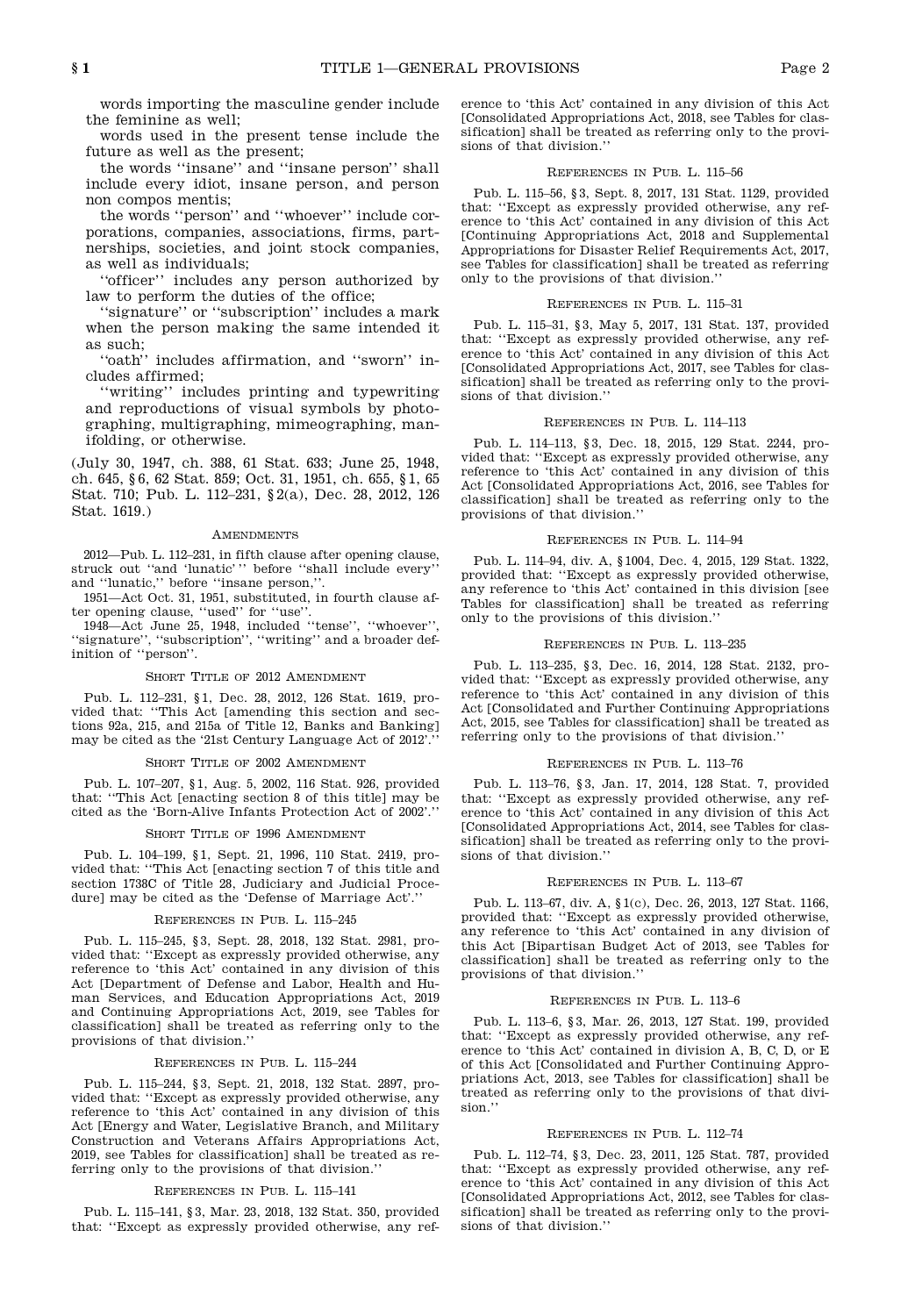words importing the masculine gender include the feminine as well;

words used in the present tense include the future as well as the present;

the words "insane" and "insane person" shall include every idiot, insane person, and person non compos mentis;

the words "person" and "whoever" include cor porations, companies, associations, firms, part nerships, societies, and joint stock companies, as well as individuals;

"officer" includes any person authorized by law to perform the duties of the office;

"signature" or "subscription" includes a mark when the person making the same intended it as such;

"oath" includes affirmation, and "sworn" in cludes affirmed;

"writing" includes printing and typewriting and reproductions of visual symbols by photo graphing, multigraphing, mimeographing, manifolding, or otherwise.

(July 30, 1947, ch. 388, 61 Stat. 633; June 25, 1948, ch. 645, § 6, 62 Stat. 859; Oct. 31, 1951, ch. 655, § 1, 65 Stat. 710; Pub. L. 112–231, § 2(a), Dec. 28, 2012, 126 Stat. 1619.)

#### **AMENDMENTS**

2012—Pub. L. 112–231, in fifth clause after opening clause, struck out "and 'lunatic' " before "shall include every" and "lunatic," before "insane person,".

1951—Act Oct. 31, 1951, substituted, in fourth clause af ter opening clause, "used" for "use".

1948—Act June 25, 1948, included "tense", "whoever", "signature", "subscription", "writing" and a broader definition of "person".

#### SHORT TITLE OF 2012 AMENDMENT

Pub. L. 112–231, § 1, Dec. 28, 2012, 126 Stat. 1619, pro vided that: "This Act [amending this section and sec-<br>tions 92a, 215, and 215a of Title 12, Banks and Banking] Act may be cited as the '21st Century Language Act of 2012'.'

#### SHORT TITLE OF 2002 AMENDMENT

Pub. L. 107–207, § 1, Aug. 5, 2002, 116 Stat. 926, provided that: "This Act [enacting section 8 of this title] may be cited as the 'Born-Alive Infants Protection Act of 2002'."

#### SHORT TITLE OF 1996 AMENDMENT

Pub. L. 104–199, § 1, Sept. 21, 1996, 110 Stat. 2419, pro vided that: "This Act [enacting section 7 of this title and section 1738C of Title 28, Judiciary and Judicial Procedure] may be cited as the 'Defense of Marriage Act'."

#### References in Pub. L. 115–245

Pub. L. 115–245, § 3, Sept. 28, 2018, 132 Stat. 2981, pro vided that: "Except as expressly provided otherwise, any reference to 'this Act' contained in any division of this Act [Department of Defense and Labor, Health and Hu man Services, and Education Appropriations Act, 2019 and Continuing Appropriations Act, 2019, see Tables for classification] shall be treated as referring only to the provisions of that division.'

# References in Pub. L. 115–244

Pub. L. 115–244, § 3, Sept. 21, 2018, 132 Stat. 2897, pro vided that: "Except as expressly provided otherwise, any reference to 'this Act' contained in any division of this Act [Energy and Water, Legislative Branch, and Military Construction and Veterans Affairs Appropriations Act, 2019, see Tables for classification] shall be treated as referring only to the provisions of that division."

# References in Pub. L. 115–141

Pub. L. 115–141, § 3, Mar. 23, 2018, 132 Stat. 350, provided that: "Except as expressly provided otherwise, any reference to 'this Act' contained in any division of this Act [Consolidated Appropriations Act, 2018, see Tables for clas sification] shall be treated as referring only to the provi sions of that division."

# References in Pub. L. 115–56

Pub. L. 115–56, § 3, Sept. 8, 2017, 131 Stat. 1129, provided that: "Except as expressly provided otherwise, any ref erence to 'this Act' contained in any division of this Act [Continuing Appropriations Act, 2018 and Supplemental Appropriations for Disaster Relief Requirements Act, 2017, see Tables for classification] shall be treated as referring only to the provisions of that division."

#### References in Pub. L. 115–31

Pub. L. 115–31, § 3, May 5, 2017, 131 Stat. 137, provided that: "Except as expressly provided otherwise, any ref erence to 'this Act' contained in any division of this Act [Consolidated Appropriations Act, 2017, see Tables for clas sification] shall be treated as referring only to the provi sions of that division."

# References in Pub. L. 114–113

Pub. L. 114–113, § 3, Dec. 18, 2015, 129 Stat. 2244, pro vided that: "Except as expressly provided otherwise, any reference to 'this Act' contained in any division of this Act [Consolidated Appropriations Act, 2016, see Tables for classification] shall be treated as referring only to the provisions of that division."

# References in Pub. L. 114–94

Pub. L. 114–94, div. A, § 1004, Dec. 4, 2015, 129 Stat. 1322, provided that: "Except as expressly provided otherwise, any reference to 'this Act' contained in this division [see Tables for classification] shall be treated as referring only to the provisions of this division."

#### References in Pub. L. 113–235

Pub. L. 113–235, § 3, Dec. 16, 2014, 128 Stat. 2132, pro vided that: "Except as expressly provided otherwise, any reference to 'this Act' contained in any division of this Act [Consolidated and Further Continuing Appropriations Act, 2015, see Tables for classification] shall be treated as referring only to the provisions of that division."

# References in Pub. L. 113–76

Pub. L. 113–76, § 3, Jan. 17, 2014, 128 Stat. 7, provided that: "Except as expressly provided otherwise, any ref erence to 'this Act' contained in any division of this Act [Consolidated Appropriations Act, 2014, see Tables for clas sification] shall be treated as referring only to the provi sions of that division."

#### References in Pub. L. 113–67

Pub. L. 113–67, div. A, § 1(c), Dec. 26, 2013, 127 Stat. 1166, provided that: "Except as expressly provided otherwise, any reference to 'this Act' contained in any division of this Act [Bipartisan Budget Act of 2013, see Tables for classification] shall be treated as referring only to the provisions of that division."

#### References in Pub. L. 113–6

Pub. L. 113–6, § 3, Mar. 26, 2013, 127 Stat. 199, provided that: "Except as expressly provided otherwise, any ref erence to 'this Act' contained in division A, B, C, D, or E of this Act [Consolidated and Further Continuing Appro priations Act, 2013, see Tables for classification] shall be treated as referring only to the provisions of that divi sion."

#### References in Pub. L. 112–74

Pub. L. 112–74, § 3, Dec. 23, 2011, 125 Stat. 787, provided that: "Except as expressly provided otherwise, any ref erence to 'this Act' contained in any division of this Act [Consolidated Appropriations Act, 2012, see Tables for clas sification] shall be treated as referring only to the provi sions of that division."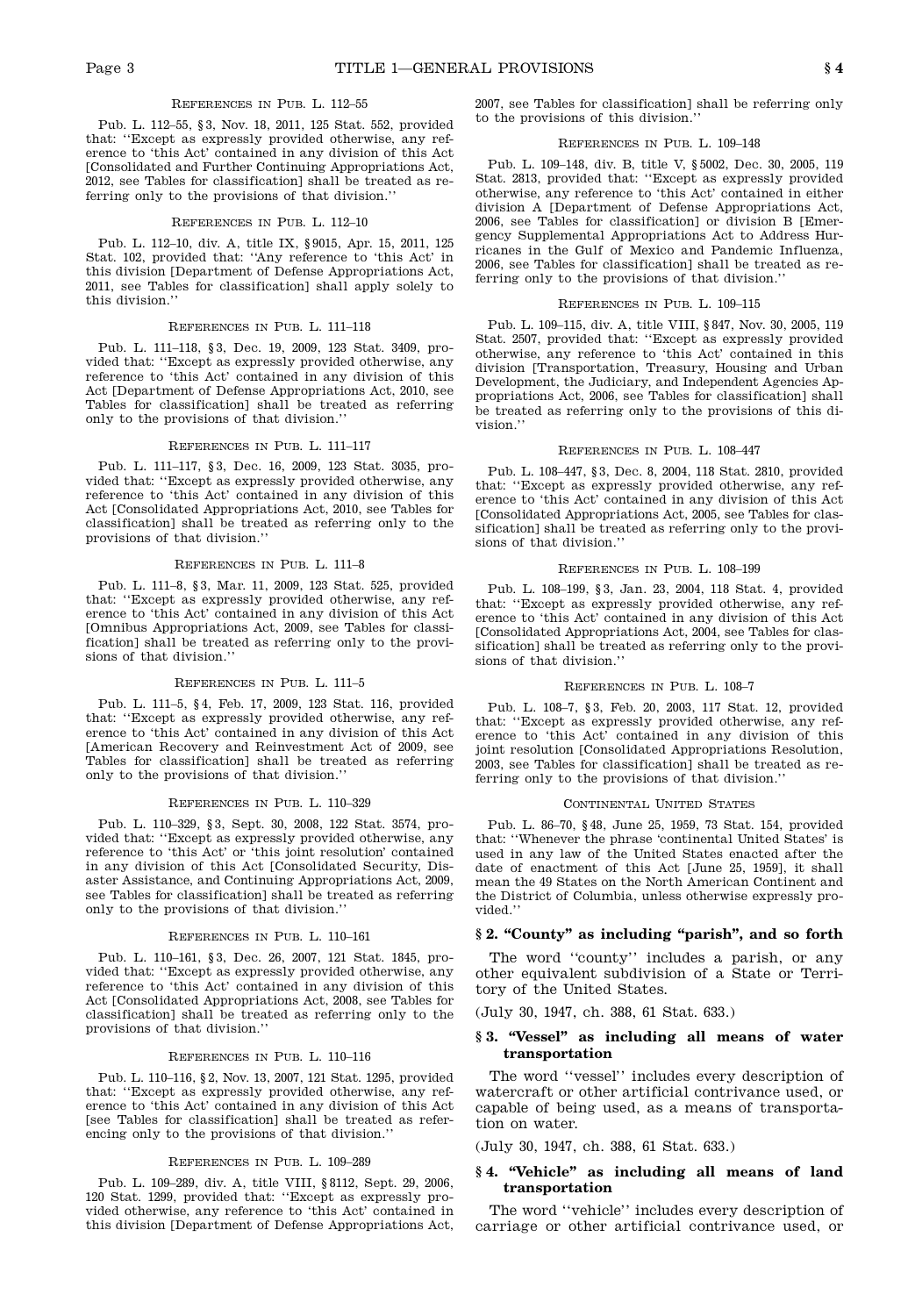#### References in Pub. L. 112–55

Pub. L. 112–55, § 3, Nov. 18, 2011, 125 Stat. 552, provided that: "Except as expressly provided otherwise, any ref erence to 'this Act' contained in any division of this Act [Consolidated and Further Continuing Appropriations Act, 2012, see Tables for classification] shall be treated as referring only to the provisions of that division."

#### References in Pub. L. 112–10

Pub. L. 112–10, div. A, title IX, § 9015, Apr. 15, 2011, 125 Stat. 102, provided that: "Any reference to 'this Act' in this division [Department of Defense Appropriations Act, 2011, see Tables for classification] shall apply solely to this division."

#### References in Pub. L. 111–118

Pub. L. 111–118, § 3, Dec. 19, 2009, 123 Stat. 3409, pro vided that: "Except as expressly provided otherwise, any reference to 'this Act' contained in any division of this Act [Department of Defense Appropriations Act, 2010, see Tables for classification] shall be treated as referring only to the provisions of that division."

# References in Pub. L. 111–117

Pub. L. 111–117, § 3, Dec. 16, 2009, 123 Stat. 3035, pro vided that: "Except as expressly provided otherwise, any reference to 'this Act' contained in any division of this Act [Consolidated Appropriations Act, 2010, see Tables for classification] shall be treated as referring only to the provisions of that division."

#### References in Pub. L. 111–8

Pub. L. 111–8, § 3, Mar. 11, 2009, 123 Stat. 525, provided that: "Except as expressly provided otherwise, any ref erence to 'this Act' contained in any division of this Act [Omnibus Appropriations Act, 2009, see Tables for classification] shall be treated as referring only to the provi sions of that division."

# References in Pub. L. 111–5

Pub. L. 111–5, §4, Feb. 17, 2009, 123 Stat. 116, provided pub.<br>that: "Except as expressly provided otherwise, any ref-<br>that: " erence to 'this Act' contained in any division of this Act [American Recovery and Reinvestment Act of 2009, see Tables for classification] shall be treated as referring only to the provisions of that division."

#### References in Pub. L. 110–329

Pub. L. 110–329, § 3, Sept. 30, 2008, 122 Stat. 3574, pro vided that: "Except as expressly provided otherwise, any reference to 'this Act' or 'this joint resolution' contained in any division of this Act [Consolidated Security, Dis aster Assistance, and Continuing Appropriations Act, 2009, see Tables for classification] shall be treated as referring only to the provisions of that division."

#### References in Pub. L. 110–161

Pub. L. 110–161, § 3, Dec. 26, 2007, 121 Stat. 1845, pro vided that: "Except as expressly provided otherwise, any reference to 'this Act' contained in any division of this Act [Consolidated Appropriations Act, 2008, see Tables for classification] shall be treated as referring only to the provisions of that division."

#### References in Pub. L. 110–116

Pub. L. 110–116, § 2, Nov. 13, 2007, 121 Stat. 1295, provided that: "Except as expressly provided otherwise, any ref erence to 'this Act' contained in any division of this Act [see Tables for classification] shall be treated as refer encing only to the provisions of that division."

#### References in Pub. L. 109–289

Pub. L. 109–289, div. A, title VIII, § 8112, Sept. 29, 2006, 120 Stat. 1299, provided that: "Except as expressly pro vided otherwise, any reference to 'this Act' contained in this division [Department of Defense Appropriations Act, 2007, see Tables for classification] shall be referring only to the provisions of this division."

#### References in Pub. L. 109–148

Pub. L. 109–148, div. B, title V, § 5002, Dec. 30, 2005, 119 Stat. 2813, provided that: "Except as expressly provided otherwise, any reference to 'this Act' contained in either division A [Department of Defense Appropriations Act, 2006, see Tables for classification] or division B [Emer gency Supplemental Appropriations Act to Address Hur ricanes in the Gulf of Mexico and Pandemic Influenza, 2006, see Tables for classification] shall be treated as referring only to the provisions of that division."

#### References in Pub. L. 109–115

Pub. L. 109–115, div. A, title VIII, § 847, Nov. 30, 2005, 119 Stat. 2507, provided that: "Except as expressly provided otherwise, any reference to 'this Act' contained in this division [Transportation, Treasury, Housing and Urban Development, the Judiciary, and Independent Agencies Ap propriations Act, 2006, see Tables for classification] shall be treated as referring only to the provisions of this di vision."

# References in Pub. L. 108–447

Pub. L. 108–447, § 3, Dec. 8, 2004, 118 Stat. 2810, provided that: "Except as expressly provided otherwise, any ref erence to 'this Act' contained in any division of this Act [Consolidated Appropriations Act, 2005, see Tables for clas sification] shall be treated as referring only to the provi sions of that division."

#### References in Pub. L. 108–199

Pub. L. 108–199, § 3, Jan. 23, 2004, 118 Stat. 4, provided that: "Except as expressly provided otherwise, any ref erence to 'this Act' contained in any division of this Act [Consolidated Appropriations Act, 2004, see Tables for clas sification] shall be treated as referring only to the provi sions of that division '

# References in Pub. L. 108–7

Pub. L. 108–7, § 3, Feb. 20, 2003, 117 Stat. 12, provided that: "Except as expressly provided otherwise, any ref erence to 'this Act' contained in any division of this joint resolution [Consolidated Appropriations Resolution, 2003, see Tables for classification] shall be treated as referring only to the provisions of that division."

#### CONTINENTAL UNITED STATES

Pub. L. 86–70, § 48, June 25, 1959, 73 Stat. 154, provided that: "Whenever the phrase 'continental United States' is used in any law of the United States enacted after the date of enactment of this Act [June 25, 1959], it shall mean the 49 States on the North American Continent and the District of Columbia, unless otherwise expressly pro vided."

# **§ 2. "County" as including "parish", and so forth**

The word "county" includes a parish, or any other equivalent subdivision of a State or Terri tory of the United States.

(July 30, 1947, ch. 388, 61 Stat. 633.)

# **§ 3. "Vessel" as including all means of water transportation**

The word "vessel" includes every description of watercraft or other artificial contrivance used, or capable of being used, as a means of transporta tion on water.

(July 30, 1947, ch. 388, 61 Stat. 633.)

# **§ 4. "Vehicle" as including all means of land transportation**

The word "vehicle" includes every description of carriage or other artificial contrivance used, or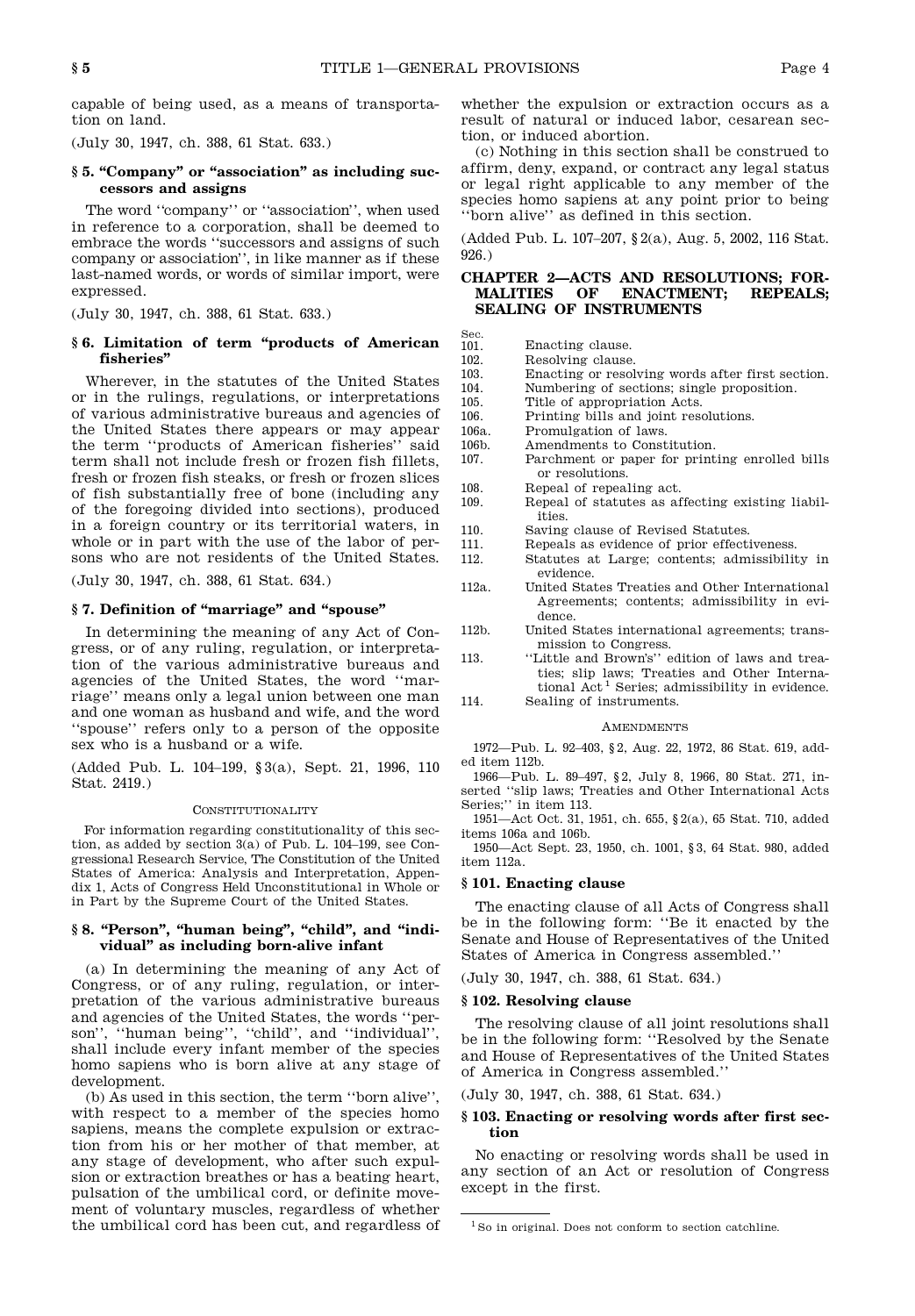Sec.

capable of being used, as a means of transporta tion on land.

(July 30, 1947, ch. 388, 61 Stat. 633.)

# **§ 5. "Company" or "association" as including successors and assigns**

The word "company" or "association", when used in reference to a corporation, shall be deemed to embrace the words "successors and assigns of such company or association", in like manner as if these last-named words, or words of similar import, were expressed.

(July 30, 1947, ch. 388, 61 Stat. 633.)

# **§ 6. Limitation of term "products of American fisheries"**

Wherever, in the statutes of the United States  $\frac{103}{104}$ . or in the rulings, regulations, or interpretations  $\frac{101}{105}$ . of various administrative bureaus and agencies of the United States there appears or may appear the term "products of American fisheries" said 106b.<br>term shall not include fresh or frozen fish fillets 107 term shall not include fresh or frozen fish fillets, fresh or frozen fish steaks, or fresh or frozen slices of fish substantially free of bone (including any  $\frac{108}{109}$ of the foregoing divided into sections), produced in a foreign country or its territorial waters, in  $_{110}$ whole or in part with the use of the labor of per- 111. sons who are not residents of the United States. 112.

(July 30, 1947, ch. 388, 61 Stat. 634.)

# **§ 7. Definition of "marriage" and "spouse"**

In determining the meaning of any Act of Con gress, or of any ruling, regulation, or interpreta tion of the various administrative bureaus and agencies of the United States, the word "mar riage" means only a legal union between one man 114. and one woman as husband and wife, and the word "spouse" refers only to a person of the opposite sex who is a husband or a wife.

(Added Pub. L. 104–199, § 3(a), Sept. 21, 1996, 110 Stat. 2419.)

#### CONSTITUTIONALITY

For information regarding constitutionality of this sec tion, as added by section 3(a) of Pub. L. 104–199, see Con gressional Research Service, The Constitution of the United States of America: Analysis and Interpretation, Appen dix 1, Acts of Congress Held Unconstitutional in Whole or in Part by the Supreme Court of the United States.

# **§ 8. "Person", "human being", "child", and "individual" as including born-alive infant**

(a) In determining the meaning of any Act of Congress, or of any ruling, regulation, or inter pretation of the various administrative bureaus and agencies of the United States, the words "per son", "human being", "child", and "individual", shall include every infant member of the species homo sapiens who is born alive at any stage of development.

(b) As used in this section, the term "born alive", with respect to a member of the species homo sapiens, means the complete expulsion or extrac tion from his or her mother of that member, at any stage of development, who after such expul sion or extraction breathes or has a beating heart, pulsation of the umbilical cord, or definite move ment of voluntary muscles, regardless of whether the umbilical cord has been cut, and regardless of

whether the expulsion or extraction occurs as a result of natural or induced labor, cesarean sec tion, or induced abortion.

(c) Nothing in this section shall be construed to affirm, deny, expand, or contract any legal status or legal right applicable to any member of the species homo sapiens at any point prior to being "born alive" as defined in this section.

(Added Pub. L. 107–207, § 2(a), Aug. 5, 2002, 116 Stat. 926.)

# **CHAPTER 2—ACTS AND RESOLUTIONS; FOR-MALITIES OF ENACTMENT; REPEALS; SEALING OF INSTRUMENTS**

- 101. Enacting clause.<br>102. Resolving clause
	- Resolving clause.
	- Enacting or resolving words after first section.
	- Numbering of sections; single proposition.
	- Title of appropriation Acts.
	- Printing bills and joint resolutions.
	- Promulgation of laws.
	- Amendments to Constitution.
	- Parchment or paper for printing enrolled bills or resolutions.
	- Repeal of repealing act.
	- Repeal of statutes as affecting existing liabilities.
	- Saving clause of Revised Statutes.
	- Repeals as evidence of prior effectiveness. Statutes at Large; contents; admissibility in
- evidence. 112a. United States Treaties and Other International
	- Agreements; contents; admissibility in evi dence.
	- United States international agreements; transmission to Congress.
- "Little and Brown's" edition of laws and treaties; slip laws; Treaties and Other Interna tional Act <sup>1</sup> Series; admissibility in evidence.
- Sealing of instruments.

# **AMENDMENTS**

1972—Pub. L. 92–403, § 2, Aug. 22, 1972, 86 Stat. 619, add ed item 112b.

1966—Pub. L. 89–497, § 2, July 8, 1966, 80 Stat. 271, in serted "slip laws; Treaties and Other International Acts Series;" in item 113.

1951—Act Oct. 31, 1951, ch. 655, § 2(a), 65 Stat. 710, added items 106a and 106b.

1950—Act Sept. 23, 1950, ch. 1001, § 3, 64 Stat. 980, added item 112a.

# **§ 101. Enacting clause**

The enacting clause of all Acts of Congress shall be in the following form: "Be it enacted by the Senate and House of Representatives of the United States of America in Congress assembled."

(July 30, 1947, ch. 388, 61 Stat. 634.)

# **§ 102. Resolving clause**

The resolving clause of all joint resolutions shall be in the following form: "Resolved by the Senate and House of Representatives of the United States of America in Congress assembled."

(July 30, 1947, ch. 388, 61 Stat. 634.)

# **§ 103. Enacting or resolving words after first section**

No enacting or resolving words shall be used in any section of an Act or resolution of Congress except in the first.

<sup>&</sup>lt;sup>1</sup> So in original. Does not conform to section catchline.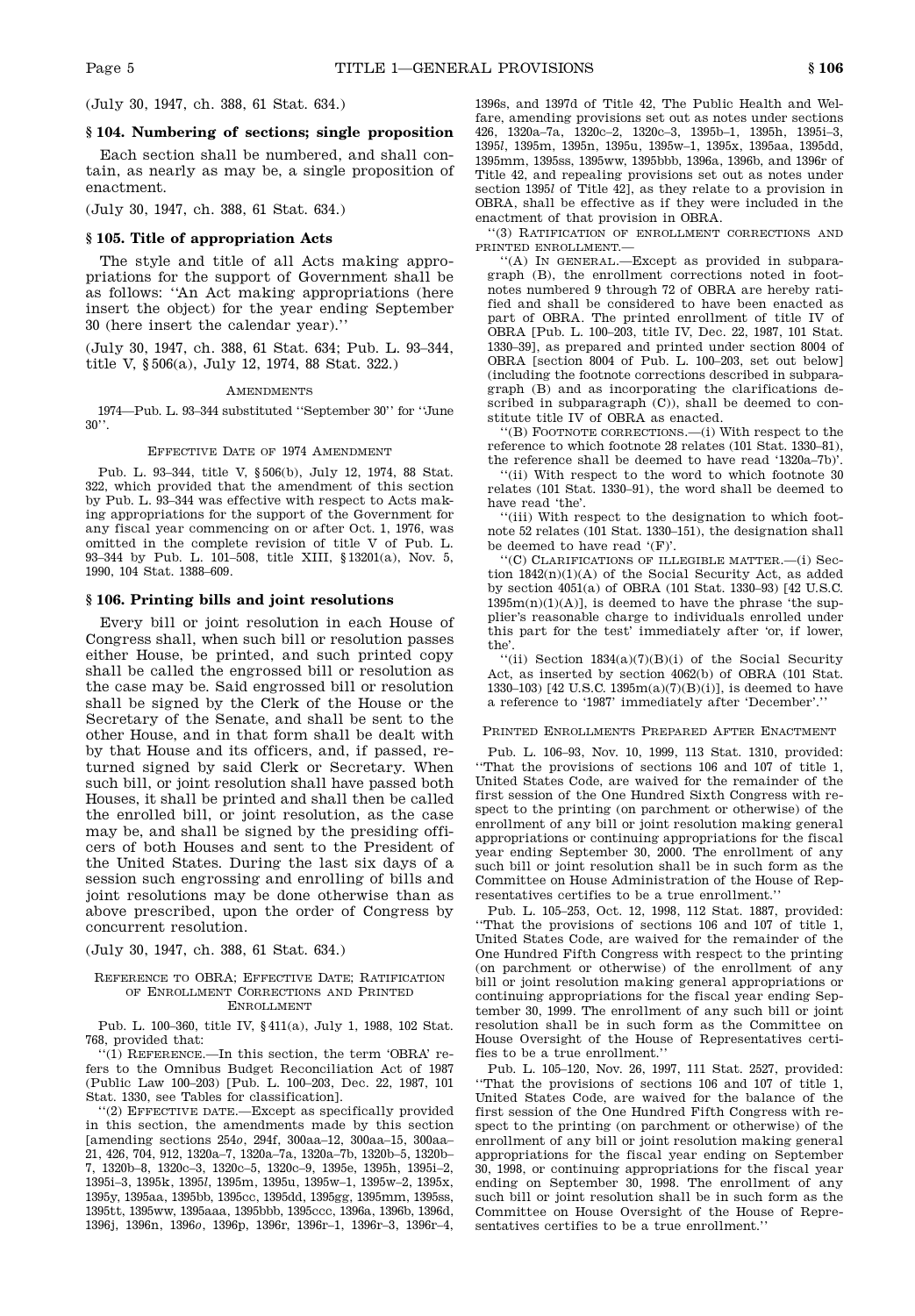(July 30, 1947, ch. 388, 61 Stat. 634.)

# **§ 104. Numbering of sections; single proposition**

Each section shall be numbered, and shall con tain, as nearly as may be, a single proposition of enactment.

(July 30, 1947, ch. 388, 61 Stat. 634.)

# **§ 105. Title of appropriation Acts**

The style and title of all Acts making appro priations for the support of Government shall be as follows: "An Act making appropriations (here insert the object) for the year ending September 30 (here insert the calendar year)."

(July 30, 1947, ch. 388, 61 Stat. 634; Pub. L. 93–344, title V, § 506(a), July 12, 1974, 88 Stat. 322.)

#### **AMENDMENTS**

1974—Pub. L. 93–344 substituted "September 30" for "June  $30"$ 

# Effective Date of 1974 Amendment

Pub. L. 93–344, title V, § 506(b), July 12, 1974, 88 Stat. 322, which provided that the amendment of this section by Pub. L. 93–344 was effective with respect to Acts making appropriations for the support of the Government for any fiscal year commencing on or after Oct. 1, 1976, was omitted in the complete revision of title V of Pub. L. 93–344 by Pub. L. 101–508, title XIII, § 13201(a), Nov. 5, 1990, 104 Stat. 1388–609.

# **§ 106. Printing bills and joint resolutions**

Every bill or joint resolution in each House of Congress shall, when such bill or resolution passes either House, be printed, and such printed copy shall be called the engrossed bill or resolution as the case may be. Said engrossed bill or resolution shall be signed by the Clerk of the House or the Secretary of the Senate, and shall be sent to the other House, and in that form shall be dealt with by that House and its officers, and, if passed, returned signed by said Clerk or Secretary. When such bill, or joint resolution shall have passed both Houses, it shall be printed and shall then be called the enrolled bill, or joint resolution, as the case may be, and shall be signed by the presiding offi cers of both Houses and sent to the President of the United States. During the last six days of a session such engrossing and enrolling of bills and joint resolutions may be done otherwise than as above prescribed, upon the order of Congress by concurrent resolution.

#### (July 30, 1947, ch. 388, 61 Stat. 634.)

#### REFERENCE TO OBRA; EFFECTIVE DATE; RATIFICATION of Enrollment Corrections and Printed **ENROLLMENT**

Pub. L. 100–360, title IV, § 411(a), July 1, 1988, 102 Stat. 768, provided that:

"(1) Reference.—In this section, the term 'OBRA' refers to the Omnibus Budget Reconciliation Act of 1987 (Public Law 100–203) [Pub. L. 100–203, Dec. 22, 1987, 101 Stat. 1330, see Tables for classification].

"(2) Effective date.—Except as specifically provided in this section, the amendments made by this section [amending sections 254*o*, 294f, 300aa–12, 300aa–15, 300aa– 21, 426, 704, 912, 1320a–7, 1320a–7a, 1320a–7b, 1320b–5, 1320b– 7, 1320b–8, 1320c–3, 1320c–5, 1320c–9, 1395e, 1395h, 1395i–2, 1395i–3, 1395k, 1395*l*, 1395m, 1395u, 1395w–1, 1395w–2, 1395x, 1395y, 1395aa, 1395bb, 1395cc, 1395dd, 1395gg, 1395mm, 1395ss, 1395tt, 1395ww, 1395aaa, 1395bbb, 1395ccc, 1396a, 1396b, 1396d, 1396j, 1396n, 1396*o*, 1396p, 1396r, 1396r–1, 1396r–3, 1396r–4, 1396s, and 1397d of Title 42, The Public Health and Welfare, amending provisions set out as notes under sections 426, 1320a–7a, 1320c–2, 1320c–3, 1395b–1, 1395h, 1395i–3, 1395*l*, 1395m, 1395n, 1395u, 1395w–1, 1395x, 1395aa, 1395dd, 1395mm, 1395ss, 1395ww, 1395bbb, 1396a, 1396b, and 1396r of Title 42, and repealing provisions set out as notes under section 1395*l* of Title 42], as they relate to a provision in OBRA, shall be effective as if they were included in the enactment of that provision in OBRA.

"(3) Ratification of enrollment corrections and printed enrollment.—

"(A) In general.—Except as provided in subpara graph (B), the enrollment corrections noted in foot notes numbered 9 through 72 of OBRA are hereby ratified and shall be considered to have been enacted as part of OBRA. The printed enrollment of title IV of OBRA [Pub. L. 100–203, title IV, Dec. 22, 1987, 101 Stat. 1330–39], as prepared and printed under section 8004 of OBRA [section 8004 of Pub. L. 100–203, set out below] (including the footnote corrections described in subpara graph (B) and as incorporating the clarifications de scribed in subparagraph (C)), shall be deemed to con stitute title IV of OBRA as enacted.

 $'(B)$  FOOTNOTE CORRECTIONS.— $(i)$  With respect to the reference to which footnote 28 relates (101 Stat. 1330–81), the reference shall be deemed to have read '1320a–7b)'.

"(ii) With respect to the word to which footnote 30 relates (101 Stat. 1330–91), the word shall be deemed to have read 'the'.

"(iii) With respect to the designation to which foot note 52 relates (101 Stat. 1330–151), the designation shall be deemed to have read '(F)'.

"(C) Clarifications of illegible matter.—(i) Sec tion 1842(n)(1)(A) of the Social Security Act, as added by section 4051(a) of OBRA (101 Stat. 1330–93) [42 U.S.C.  $1395m(n)(1)(A)$ , is deemed to have the phrase 'the supplier's reasonable charge to individuals enrolled under this part for the test' immediately after 'or, if lower, the'.

"(ii) Section 1834(a)(7)(B)(i) of the Social Security Act, as inserted by section 4062(b) of OBRA (101 Stat. 1330–103) [42 U.S.C. 1395m(a)(7)(B)(i)], is deemed to have a reference to '1987' immediately after 'December'."

# Printed Enrollments Prepared After Enactment

Pub. L. 106–93, Nov. 10, 1999, 113 Stat. 1310, provided: "That the provisions of sections 106 and 107 of title 1, United States Code, are waived for the remainder of the first session of the One Hundred Sixth Congress with respect to the printing (on parchment or otherwise) of the enrollment of any bill or joint resolution making general appropriations or continuing appropriations for the fiscal year ending September 30, 2000. The enrollment of any such bill or joint resolution shall be in such form as the Committee on House Administration of the House of Rep resentatives certifies to be a true enrollment."

Pub. L. 105–253, Oct. 12, 1998, 112 Stat. 1887, provided: "That the provisions of sections 106 and 107 of title 1, United States Code, are waived for the remainder of the One Hundred Fifth Congress with respect to the printing (on parchment or otherwise) of the enrollment of any bill or joint resolution making general appropriations or continuing appropriations for the fiscal year ending Sep tember 30, 1999. The enrollment of any such bill or joint resolution shall be in such form as the Committee on House Oversight of the House of Representatives certifies to be a true enrollment."

Pub. L. 105–120, Nov. 26, 1997, 111 Stat. 2527, provided: "That the provisions of sections 106 and 107 of title 1, United States Code, are waived for the balance of the first session of the One Hundred Fifth Congress with respect to the printing (on parchment or otherwise) of the enrollment of any bill or joint resolution making general appropriations for the fiscal year ending on September 30, 1998, or continuing appropriations for the fiscal year ending on September 30, 1998. The enrollment of any such bill or joint resolution shall be in such form as the Committee on House Oversight of the House of Repre sentatives certifies to be a true enrollment.'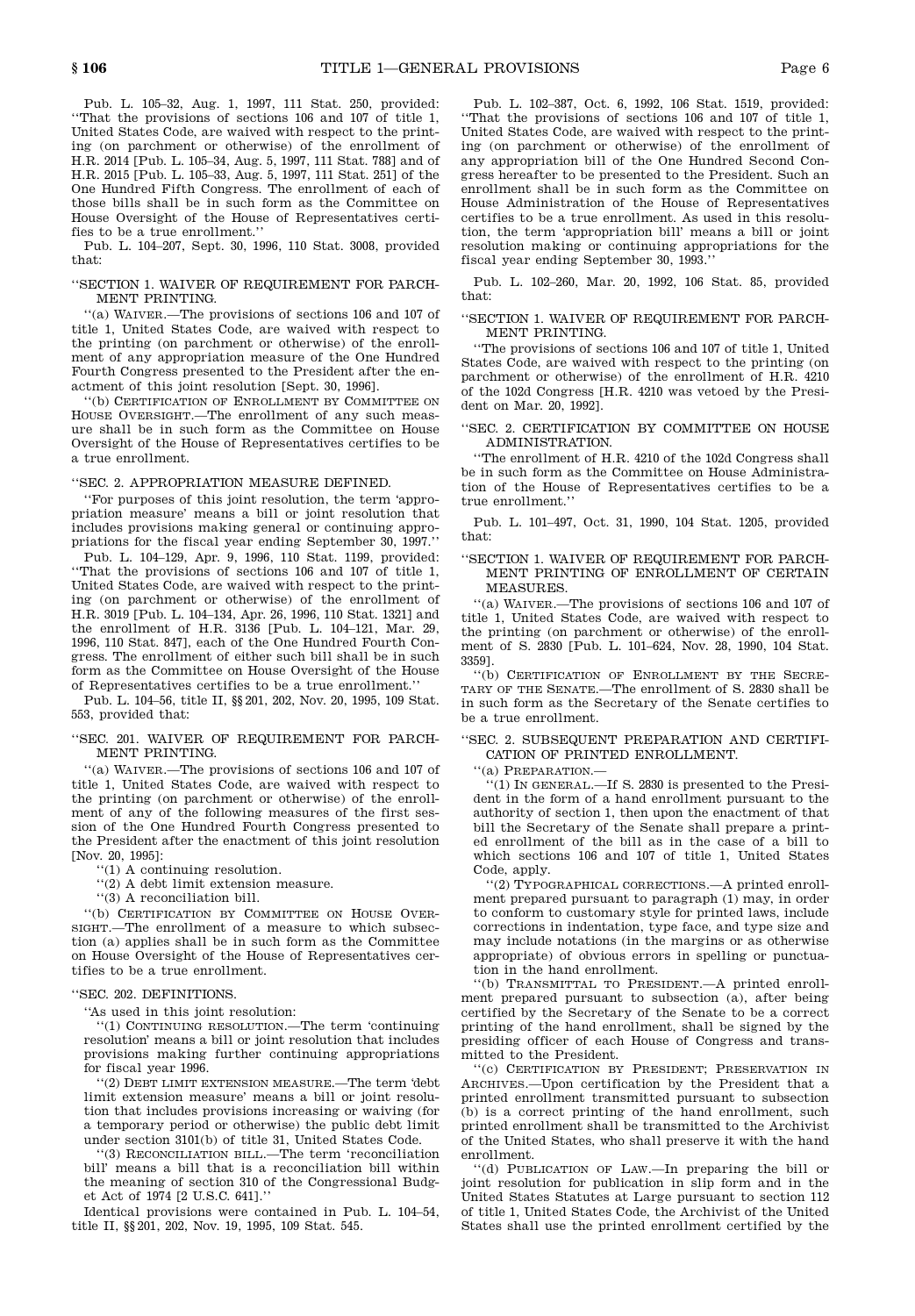Pub. L. 105–32, Aug. 1, 1997, 111 Stat. 250, provided: "That the provisions of sections 106 and 107 of title 1, United States Code, are waived with respect to the printing (on parchment or otherwise) of the enrollment of H.R. 2014 [Pub. L. 105–34, Aug. 5, 1997, 111 Stat. 788] and of H.R. 2015 [Pub. L. 105–33, Aug. 5, 1997, 111 Stat. 251] of the One Hundred Fifth Congress. The enrollment of each of those bills shall be in such form as the Committee on House Oversight of the House of Representatives certifies to be a true enrollment."

Pub. L. 104–207, Sept. 30, 1996, 110 Stat. 3008, provided that:

#### "SECTION 1. WAIVER OF REQUIREMENT FOR PARCH- MENT PRINTING.

"(a) Waiver.—The provisions of sections 106 and 107 of title 1, United States Code, are waived with respect to the printing (on parchment or otherwise) of the enroll ment of any appropriation measure of the One Hundred Fourth Congress presented to the President after the en actment of this joint resolution [Sept. 30, 1996].

"(b) Certification of Enrollment by Committee on HOUSE OVERSIGHT.—The enrollment of any such measure shall be in such form as the Committee on House Oversight of the House of Representatives certifies to be a true enrollment.

#### "SEC. 2. APPROPRIATION MEASURE DEFINED.

"For purposes of this joint resolution, the term 'appro priation measure' means a bill or joint resolution that includes provisions making general or continuing appro priations for the fiscal year ending September 30, 1997."

Pub. L. 104–129, Apr. 9, 1996, 110 Stat. 1199, provided: "That the provisions of sections 106 and 107 of title 1, United States Code, are waived with respect to the printing (on parchment or otherwise) of the enrollment of H.R. 3019 [Pub. L. 104–134, Apr. 26, 1996, 110 Stat. 1321] and the enrollment of H.R. 3136 [Pub. L. 104–121, Mar. 29, 1996, 110 Stat. 847], each of the One Hundred Fourth Con gress. The enrollment of either such bill shall be in such form as the Committee on House Oversight of the House of Representatives certifies to be a true enrollment.'

Pub. L. 104–56, title II, §§ 201, 202, Nov. 20, 1995, 109 Stat. 553, provided that:

# "SEC. 201. WAIVER OF REQUIREMENT FOR PARCH- MENT PRINTING.

"(a) Waiver.—The provisions of sections 106 and 107 of title 1, United States Code, are waived with respect to the printing (on parchment or otherwise) of the enroll ment of any of the following measures of the first ses sion of the One Hundred Fourth Congress presented to the President after the enactment of this joint resolution [Nov. 20, 1995]:

"(1) A continuing resolution.

 $''(2)$  A debt limit extension measure.

"(3) A reconciliation bill.

"(b) CERTIFICATION BY COMMITTEE ON HOUSE OVERsight.—The enrollment of a measure to which subsec tion (a) applies shall be in such form as the Committee on House Oversight of the House of Representatives cer tifies to be a true enrollment.

# "SEC. 202. DEFINITIONS.

"As used in this joint resolution:

"(1) CONTINUING RESOLUTION.—The term 'continuing' resolution' means a bill or joint resolution that includes provisions making further continuing appropriations for fiscal year 1996.

"(2) Debt limit extension measure.—The term 'debt limit extension measure' means a bill or joint resolu tion that includes provisions increasing or waiving (for a temporary period or otherwise) the public debt limit under section 3101(b) of title 31, United States Code.

"(3) Reconciliation bill.—The term 'reconciliation bill' means a bill that is a reconciliation bill within the meaning of section 310 of the Congressional Budg et Act of 1974 [2 U.S.C. 641]."

Identical provisions were contained in Pub. L. 104–54, title II, §§ 201, 202, Nov. 19, 1995, 109 Stat. 545.

Pub. L. 102–387, Oct. 6, 1992, 106 Stat. 1519, provided: "That the provisions of sections 106 and 107 of title 1, United States Code, are waived with respect to the printing (on parchment or otherwise) of the enrollment of any appropriation bill of the One Hundred Second Con gress hereafter to be presented to the President. Such an enrollment shall be in such form as the Committee on House Administration of the House of Representatives certifies to be a true enrollment. As used in this resolu tion, the term 'appropriation bill' means a bill or joint resolution making or continuing appropriations for the fiscal year ending September 30, 1993."

Pub. L. 102–260, Mar. 20, 1992, 106 Stat. 85, provided that:

# "SECTION 1. WAIVER OF REQUIREMENT FOR PARCH- MENT PRINTING.

"The provisions of sections 106 and 107 of title 1, United States Code, are waived with respect to the printing (on parchment or otherwise) of the enrollment of H.R. 4210 of the 102d Congress [H.R. 4210 was vetoed by the Presi dent on Mar. 20, 1992].

#### "SEC. 2. CERTIFICATION BY COMMITTEE ON HOUSE ADMINISTRATION.

"The enrollment of H.R. 4210 of the 102d Congress shall be in such form as the Committee on House Administra tion of the House of Representatives certifies to be a true enrollment."

Pub. L. 101–497, Oct. 31, 1990, 104 Stat. 1205, provided that:

# "SECTION 1. WAIVER OF REQUIREMENT FOR PARCH- MENT PRINTING OF ENROLLMENT OF CERTAIN MEASURES.

"(a) Waiver.—The provisions of sections 106 and 107 of title 1, United States Code, are waived with respect to the printing (on parchment or otherwise) of the enroll ment of S. 2830 [Pub. L. 101–624, Nov. 28, 1990, 104 Stat. 3359].

"(b) Certification of Enrollment by the Secre- TARY OF THE SENATE.—The enrollment of S. 2830 shall be in such form as the Secretary of the Senate certifies to be a true enrollment.

# "SEC. 2. SUBSEQUENT PREPARATION AND CERTIFI- CATION OF PRINTED ENROLLMENT.

"(a) Preparation.—

"(1) In general.—If S. 2830 is presented to the Presi dent in the form of a hand enrollment pursuant to the authority of section 1, then upon the enactment of that bill the Secretary of the Senate shall prepare a print ed enrollment of the bill as in the case of a bill to which sections 106 and 107 of title 1, United States Code, apply.

"(2) Typographical corrections.—A printed enroll ment prepared pursuant to paragraph (1) may, in order to conform to customary style for printed laws, include corrections in indentation, type face, and type size and may include notations (in the margins or as otherwise appropriate) of obvious errors in spelling or punctua tion in the hand enrollment.

"(b) TRANSMITTAL TO PRESIDENT.—A printed enrollment prepared pursuant to subsection (a), after being certified by the Secretary of the Senate to be a correct printing of the hand enrollment, shall be signed by the presiding officer of each House of Congress and trans mitted to the President.

"(c) Certification by President; Preservation in Archives.—Upon certification by the President that a printed enrollment transmitted pursuant to subsection (b) is a correct printing of the hand enrollment, such printed enrollment shall be transmitted to the Archivist of the United States, who shall preserve it with the hand enrollment.

"(d) Publication of Law.—In preparing the bill or joint resolution for publication in slip form and in the United States Statutes at Large pursuant to section 112 of title 1, United States Code, the Archivist of the United States shall use the printed enrollment certified by the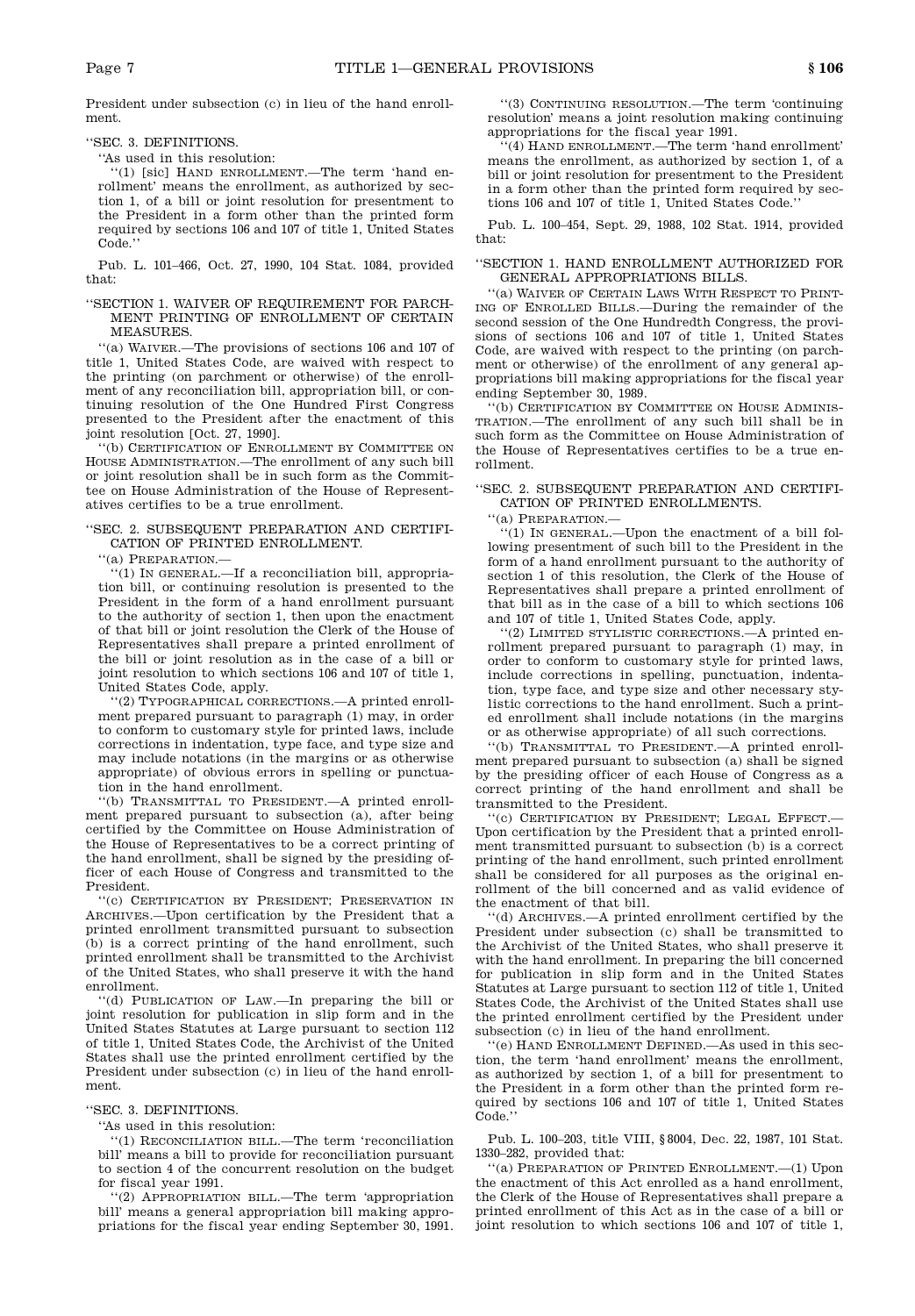President under subsection (c) in lieu of the hand enroll ment.

"SEC. 3. DEFINITIONS.

"As used in this resolution:

"(1) [sic] Hand enrollment.—The term 'hand en rollment' means the enrollment, as authorized by sec tion 1, of a bill or joint resolution for presentment to the President in a form other than the printed form required by sections 106 and 107 of title 1, United States Code."

Pub. L. 101–466, Oct. 27, 1990, 104 Stat. 1084, provided that:

"SECTION 1. WAIVER OF REQUIREMENT FOR PARCH- MENT PRINTING OF ENROLLMENT OF CERTAIN MEASURES.

 $\lq\lq$  WAIVER.—The provisions of sections  $106$  and  $107$  of title 1, United States Code, are waived with respect to the printing (on parchment or otherwise) of the enroll ment of any reconciliation bill, appropriation bill, or con tinuing resolution of the One Hundred First Congress presented to the President after the enactment of this joint resolution [Oct. 27, 1990].

"(b) Certification of Enrollment by Committee on House Administration.—The enrollment of any such bill or joint resolution shall be in such form as the Commit tee on House Administration of the House of Represent atives certifies to be a true enrollment.

# "SEC. 2. SUBSEQUENT PREPARATION AND CERTIFI- CATION OF PRINTED ENROLLMENT.

"(a) Preparation.—

"(1) In general.—If a reconciliation bill, appropria tion bill, or continuing resolution is presented to the President in the form of a hand enrollment pursuant to the authority of section 1, then upon the enactment of that bill or joint resolution the Clerk of the House of Representatives shall prepare a printed enrollment of the bill or joint resolution as in the case of a bill or joint resolution to which sections 106 and 107 of title 1, United States Code, apply.

"(2) Typographical corrections.—A printed enroll ment prepared pursuant to paragraph (1) may, in order to conform to customary style for printed laws, include corrections in indentation, type face, and type size and may include notations (in the margins or as otherwise appropriate) of obvious errors in spelling or punctua tion in the hand enrollment.

"(b) TRANSMITTAL TO PRESIDENT.—A printed enrollment prepared pursuant to subsection (a), after being certified by the Committee on House Administration of the House of Representatives to be a correct printing of the hand enrollment, shall be signed by the presiding officer of each House of Congress and transmitted to the President.

"(c) Certification by President; Preservation in Archives.—Upon certification by the President that a printed enrollment transmitted pursuant to subsection (b) is a correct printing of the hand enrollment, such printed enrollment shall be transmitted to the Archivist of the United States, who shall preserve it with the hand enrollment.

"(d) Publication of Law.—In preparing the bill or joint resolution for publication in slip form and in the United States Statutes at Large pursuant to section 112 of title 1, United States Code, the Archivist of the United States shall use the printed enrollment certified by the President under subsection (c) in lieu of the hand enroll ment.

"SEC. 3. DEFINITIONS.

"As used in this resolution:

"(1) Reconciliation bill.—The term 'reconciliation bill' means a bill to provide for reconciliation pursuant to section 4 of the concurrent resolution on the budget for fiscal year 1991.

"(2) Appropriation bill.—The term 'appropriation bill' means a general appropriation bill making appro priations for the fiscal year ending September 30, 1991.

 $\lq\lq$  CONTINUING RESOLUTION.—The term 'continuing resolution' means a joint resolution making continuing appropriations for the fiscal year 1991.

 $\overline{H}(4)$  HAND ENROLLMENT.—The term 'hand enrollment' means the enrollment, as authorized by section 1, of a bill or joint resolution for presentment to the President in a form other than the printed form required by sec tions 106 and 107 of title 1, United States Code."

Pub. L. 100–454, Sept. 29, 1988, 102 Stat. 1914, provided that:

# "SECTION 1. HAND ENROLLMENT AUTHORIZED FOR GENERAL APPROPRIATIONS BILLS.

"(a) Waiver of Certain Laws With Respect to Printing of Enrolled Bills.—During the remainder of the second session of the One Hundredth Congress, the provi sions of sections 106 and 107 of title 1, United States Code, are waived with respect to the printing (on parch ment or otherwise) of the enrollment of any general ap propriations bill making appropriations for the fiscal year ending September 30, 1989.

"(b) CERTIFICATION BY COMMITTEE ON HOUSE ADMINIStration.—The enrollment of any such bill shall be in such form as the Committee on House Administration of the House of Representatives certifies to be a true en rollment.

# "SEC. 2. SUBSEQUENT PREPARATION AND CERTIFI- CATION OF PRINTED ENROLLMENTS.

"(a) Preparation.—

"(1) IN GENERAL.—Upon the enactment of a bill following presentment of such bill to the President in the form of a hand enrollment pursuant to the authority of section 1 of this resolution, the Clerk of the House of Representatives shall prepare a printed enrollment of that bill as in the case of a bill to which sections 106 and 107 of title 1, United States Code, apply.

"(2) Limited stylistic corrections.—A printed en rollment prepared pursuant to paragraph (1) may, in order to conform to customary style for printed laws, include corrections in spelling, punctuation, indenta tion, type face, and type size and other necessary stylistic corrections to the hand enrollment. Such a print ed enrollment shall include notations (in the margins or as otherwise appropriate) of all such corrections.

"(b) TRANSMITTAL TO PRESIDENT.—A printed enrollment prepared pursuant to subsection (a) shall be signed by the presiding officer of each House of Congress as a correct printing of the hand enrollment and shall be transmitted to the President.

"(c) Certification by President; Legal Effect.— Upon certification by the President that a printed enroll ment transmitted pursuant to subsection (b) is a correct printing of the hand enrollment, such printed enrollment shall be considered for all purposes as the original en rollment of the bill concerned and as valid evidence of the enactment of that bill.

"(d) Archives.—A printed enrollment certified by the President under subsection (c) shall be transmitted to the Archivist of the United States, who shall preserve it with the hand enrollment. In preparing the bill concerned for publication in slip form and in the United States Statutes at Large pursuant to section 112 of title 1, United States Code, the Archivist of the United States shall use the printed enrollment certified by the President under subsection (c) in lieu of the hand enrollment.

"(e) Hand Enrollment Defined.—As used in this sec tion, the term 'hand enrollment' means the enrollment, as authorized by section 1, of a bill for presentment to the President in a form other than the printed form re quired by sections 106 and 107 of title 1, United States Code."

Pub. L. 100–203, title VIII, § 8004, Dec. 22, 1987, 101 Stat. 1330–282, provided that:

"(a) Preparation of Printed Enrollment.—(1) Upon the enactment of this Act enrolled as a hand enrollment, the Clerk of the House of Representatives shall prepare a printed enrollment of this Act as in the case of a bill or joint resolution to which sections 106 and 107 of title 1,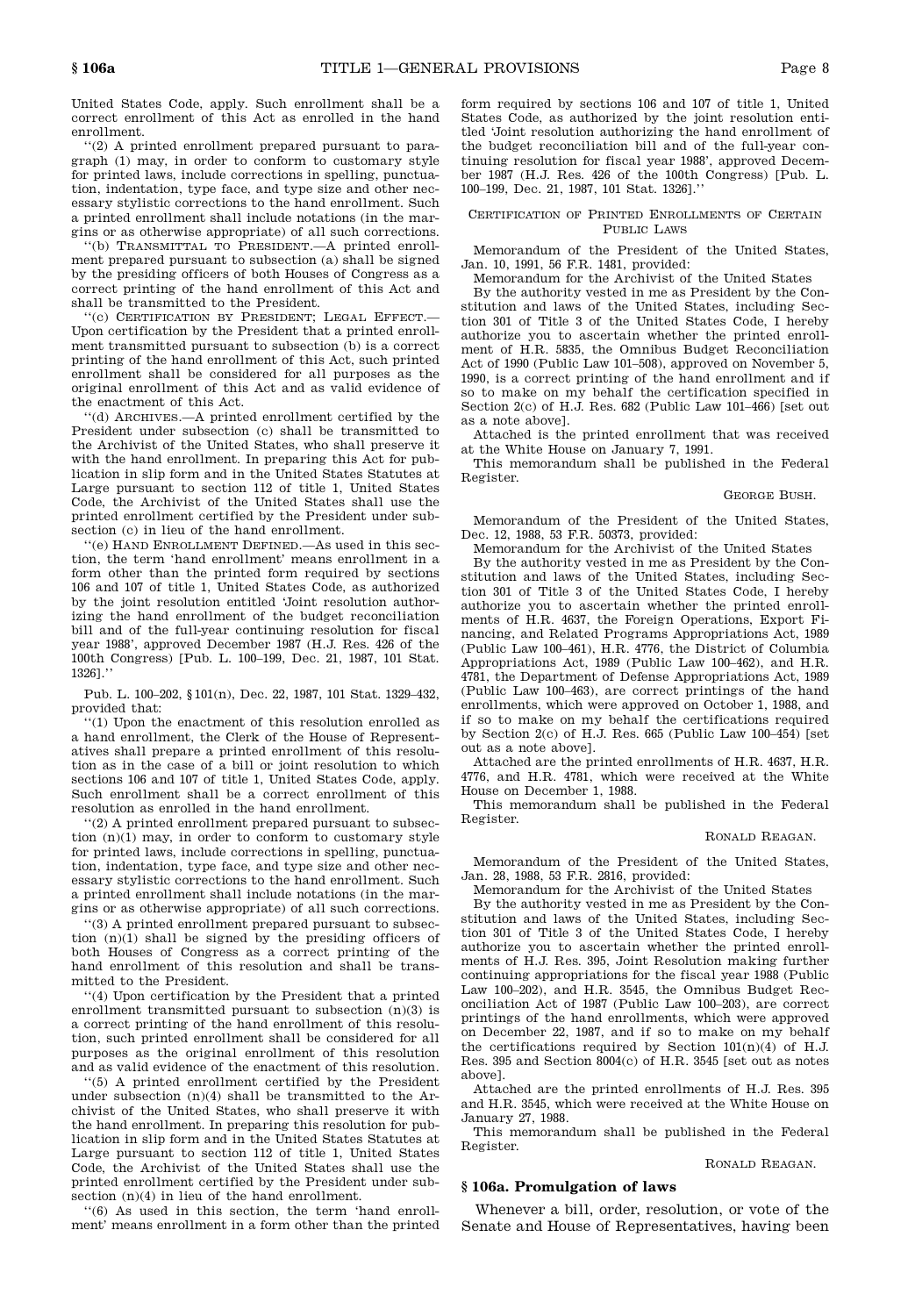United States Code, apply. Such enrollment shall be a correct enrollment of this Act as enrolled in the hand enrollment.

"(2) A printed enrollment prepared pursuant to para graph (1) may, in order to conform to customary style for printed laws, include corrections in spelling, punctua tion, indentation, type face, and type size and other nec essary stylistic corrections to the hand enrollment. Such a printed enrollment shall include notations (in the mar gins or as otherwise appropriate) of all such corrections.

"(b) TRANSMITTAL TO PRESIDENT.—A printed enrollment prepared pursuant to subsection (a) shall be signed by the presiding officers of both Houses of Congress as a correct printing of the hand enrollment of this Act and shall be transmitted to the President.

"(c) Certification by President; Legal Effect.— Upon certification by the President that a printed enroll ment transmitted pursuant to subsection (b) is a correct printing of the hand enrollment of this Act, such printed enrollment shall be considered for all purposes as the original enrollment of this Act and as valid evidence of the enactment of this Act.

"(d) Archives.—A printed enrollment certified by the President under subsection (c) shall be transmitted to the Archivist of the United States, who shall preserve it with the hand enrollment. In preparing this Act for publication in slip form and in the United States Statutes at Large pursuant to section 112 of title 1, United States Code, the Archivist of the United States shall use the printed enrollment certified by the President under sub section (c) in lieu of the hand enrollment.

"(e) Hand Enrollment Defined.—As used in this sec tion, the term 'hand enrollment' means enrollment in a form other than the printed form required by sections 106 and 107 of title 1, United States Code, as authorized by the joint resolution entitled 'Joint resolution authorizing the hand enrollment of the budget reconciliation bill and of the full-year continuing resolution for fiscal year 1988', approved December 1987 (H.J. Res. 426 of the 100th Congress) [Pub. L. 100–199, Dec. 21, 1987, 101 Stat. 1326]."

Pub. L. 100–202, § 101(n), Dec. 22, 1987, 101 Stat. 1329–432, provided that:

"(1) Upon the enactment of this resolution enrolled as a hand enrollment, the Clerk of the House of Represent atives shall prepare a printed enrollment of this resolu tion as in the case of a bill or joint resolution to which sections 106 and 107 of title 1, United States Code, apply. Such enrollment shall be a correct enrollment of this resolution as enrolled in the hand enrollment.

"(2) A printed enrollment prepared pursuant to subsec tion (n)(1) may, in order to conform to customary style for printed laws, include corrections in spelling, punctua tion, indentation, type face, and type size and other nec essary stylistic corrections to the hand enrollment. Such a printed enrollment shall include notations (in the mar gins or as otherwise appropriate) of all such corrections.

"(3) A printed enrollment prepared pursuant to subsec tion (n)(1) shall be signed by the presiding officers of both Houses of Congress as a correct printing of the hand enrollment of this resolution and shall be trans mitted to the President.

"(4) Upon certification by the President that a printed enrollment transmitted pursuant to subsection (n)(3) is a correct printing of the hand enrollment of this resolu tion, such printed enrollment shall be considered for all purposes as the original enrollment of this resolution and as valid evidence of the enactment of this resolution.

"(5) A printed enrollment certified by the President under subsection (n)(4) shall be transmitted to the Ar chivist of the United States, who shall preserve it with the hand enrollment. In preparing this resolution for publication in slip form and in the United States Statutes at Large pursuant to section 112 of title 1, United States Code, the Archivist of the United States shall use the printed enrollment certified by the President under sub section (n)(4) in lieu of the hand enrollment.

"(6) As used in this section, the term 'hand enroll ment' means enrollment in a form other than the printed form required by sections 106 and 107 of title 1, United States Code, as authorized by the joint resolution enti tled 'Joint resolution authorizing the hand enrollment of the budget reconciliation bill and of the full-year con tinuing resolution for fiscal year 1988', approved Decem ber 1987 (H.J. Res. 426 of the 100th Congress) [Pub. L. 100–199, Dec. 21, 1987, 101 Stat. 1326]."

# Certification of Printed Enrollments of Certain PUBLIC LAWS

Memorandum of the President of the United States, Jan. 10, 1991, 56 F.R. 1481, provided:

Memorandum for the Archivist of the United States

By the authority vested in me as President by the Con stitution and laws of the United States, including Sec tion 301 of Title 3 of the United States Code, I hereby authorize you to ascertain whether the printed enroll ment of H.R. 5835, the Omnibus Budget Reconciliation Act of 1990 (Public Law 101–508), approved on November 5, 1990, is a correct printing of the hand enrollment and if so to make on my behalf the certification specified in Section 2(c) of H.J. Res. 682 (Public Law 101–466) [set out as a note above].

Attached is the printed enrollment that was received at the White House on January 7, 1991.

This memorandum shall be published in the Federal Register.

#### George Bush.

Memorandum of the President of the United States, Dec. 12, 1988, 53 F.R. 50373, provided:

Memorandum for the Archivist of the United States

By the authority vested in me as President by the Con stitution and laws of the United States, including Sec tion 301 of Title 3 of the United States Code, I hereby authorize you to ascertain whether the printed enroll ments of H.R. 4637, the Foreign Operations, Export Fi nancing, and Related Programs Appropriations Act, 1989 (Public Law 100–461), H.R. 4776, the District of Columbia Appropriations Act, 1989 (Public Law 100–462), and H.R. 4781, the Department of Defense Appropriations Act, 1989 (Public Law 100–463), are correct printings of the hand enrollments, which were approved on October 1, 1988, and if so to make on my behalf the certifications required by Section 2(c) of H.J. Res. 665 (Public Law 100–454) [set out as a note above].

Attached are the printed enrollments of H.R. 4637, H.R. 4776, and H.R. 4781, which were received at the White House on December 1, 1988.

This memorandum shall be published in the Federal Register.

#### Ronald Reagan.

Memorandum of the President of the United States, Jan. 28, 1988, 53 F.R. 2816, provided:

Memorandum for the Archivist of the United States

By the authority vested in me as President by the Con stitution and laws of the United States, including Sec tion 301 of Title 3 of the United States Code, I hereby authorize you to ascertain whether the printed enroll ments of H.J. Res. 395, Joint Resolution making further continuing appropriations for the fiscal year 1988 (Public Law 100–202), and H.R. 3545, the Omnibus Budget Rec onciliation Act of 1987 (Public Law 100–203), are correct printings of the hand enrollments, which were approved on December 22, 1987, and if so to make on my behalf the certifications required by Section  $101(n)(4)$  of H.J. Res. 395 and Section 8004(c) of H.R. 3545 [set out as notes above].

Attached are the printed enrollments of H.J. Res. 395 and H.R. 3545, which were received at the White House on January 27, 1988.

This memorandum shall be published in the Federal Register.

# Ronald Reagan.

#### **§ 106a. Promulgation of laws**

Whenever a bill, order, resolution, or vote of the Senate and House of Representatives, having been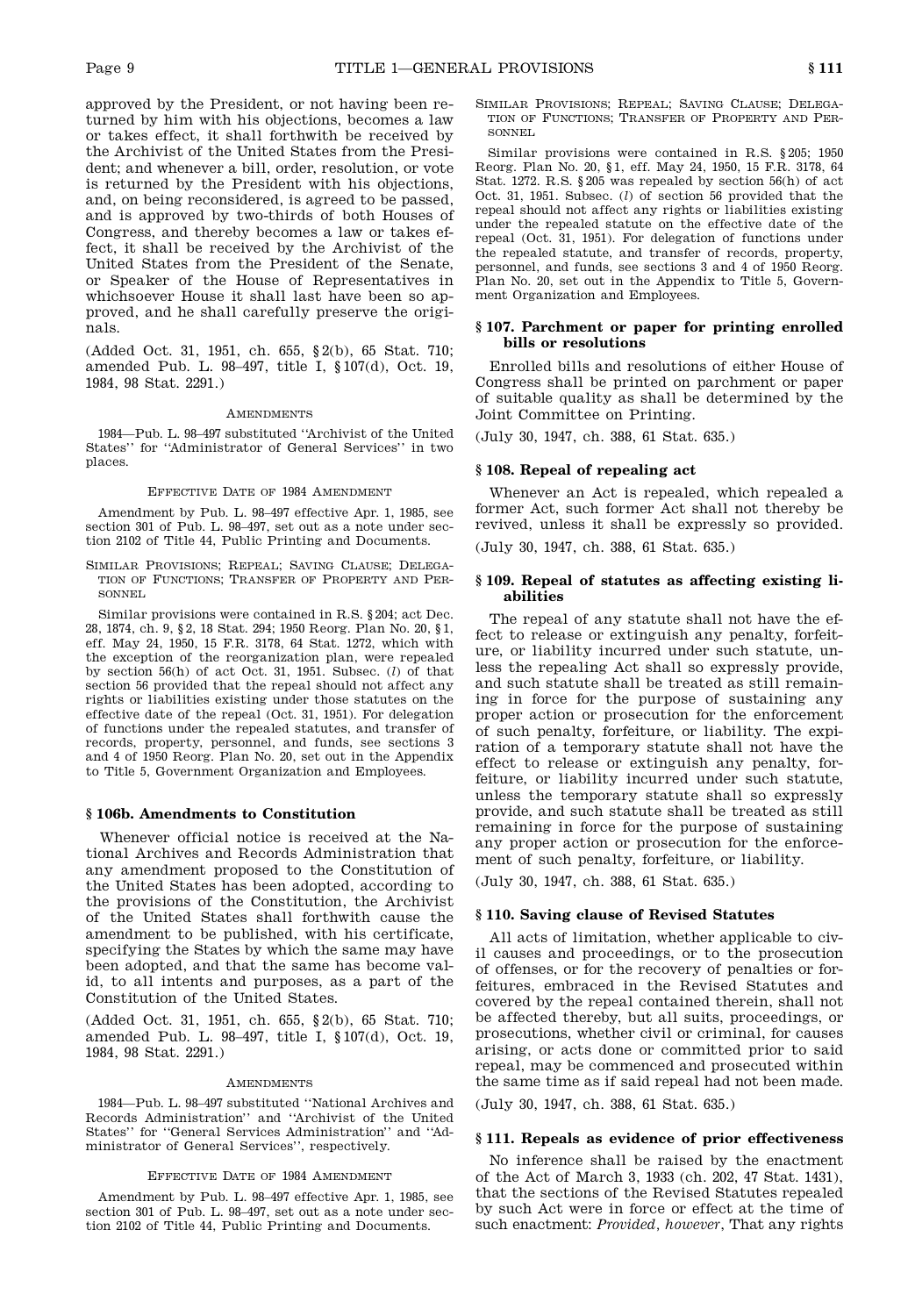approved by the President, or not having been re turned by him with his objections, becomes a law or takes effect, it shall forthwith be received by the Archivist of the United States from the Presi dent; and whenever a bill, order, resolution, or vote is returned by the President with his objections, and, on being reconsidered, is agreed to be passed, and is approved by two-thirds of both Houses of Congress, and thereby becomes a law or takes effect, it shall be received by the Archivist of the United States from the President of the Senate, or Speaker of the House of Representatives in whichsoever House it shall last have been so ap proved, and he shall carefully preserve the origi nals.

(Added Oct. 31, 1951, ch. 655, § 2(b), 65 Stat. 710; amended Pub. L. 98–497, title I, § 107(d), Oct. 19, 1984, 98 Stat. 2291.)

# **AMENDMENTS**

1984—Pub. L. 98–497 substituted "Archivist of the United States" for "Administrator of General Services" in two places.

#### Effective Date of 1984 Amendment

Amendment by Pub. L. 98–497 effective Apr. 1, 1985, see section 301 of Pub. L. 98-497, set out as a note under section 2102 of Title 44, Public Printing and Documents.

Similar Provisions; Repeal; Saving Clause; Delega tion of Functions; Transfer of Property and Per sonnel

Similar provisions were contained in R.S. § 204; act Dec. 28, 1874, ch. 9, § 2, 18 Stat. 294; 1950 Reorg. Plan No. 20, § 1, eff. May 24, 1950, 15 F.R. 3178, 64 Stat. 1272, which with the exception of the reorganization plan, were repealed by section 56(h) of act Oct. 31, 1951. Subsec. (*l*) of that section 56 provided that the repeal should not affect any rights or liabilities existing under those statutes on the effective date of the repeal (Oct. 31, 1951). For delegation of functions under the repealed statutes, and transfer of records, property, personnel, and funds, see sections 3 and 4 of 1950 Reorg. Plan No. 20, set out in the Appendix to Title 5, Government Organization and Employees.

# **§ 106b. Amendments to Constitution**

Whenever official notice is received at the Na tional Archives and Records Administration that any amendment proposed to the Constitution of the United States has been adopted, according to the provisions of the Constitution, the Archivist of the United States shall forthwith cause the amendment to be published, with his certificate, specifying the States by which the same may have been adopted, and that the same has become valid, to all intents and purposes, as a part of the Constitution of the United States.

(Added Oct. 31, 1951, ch. 655, § 2(b), 65 Stat. 710; amended Pub. L. 98–497, title I, § 107(d), Oct. 19, 1984, 98 Stat. 2291.)

#### **AMENDMENTS**

1984—Pub. L. 98–497 substituted "National Archives and Records Administration" and "Archivist of the United States" for "General Services Administration" and "Ad ministrator of General Services", respectively.

# Effective Date of 1984 Amendment

Amendment by Pub. L. 98–497 effective Apr. 1, 1985, see section 301 of Pub. L. 98–497, set out as a note under sec tion 2102 of Title 44, Public Printing and Documents.

Similar Provisions; Repeal; Saving Clause; Delega tion of Functions; Transfer of Property and Per sonnel

Similar provisions were contained in R.S. § 205; 1950 Reorg. Plan No. 20, § 1, eff. May 24, 1950, 15 F.R. 3178, 64 Stat. 1272. R.S. § 205 was repealed by section 56(h) of act Oct. 31, 1951. Subsec. (*l*) of section 56 provided that the repeal should not affect any rights or liabilities existing under the repealed statute on the effective date of the repeal (Oct. 31, 1951). For delegation of functions under the repealed statute, and transfer of records, property, personnel, and funds, see sections 3 and 4 of 1950 Reorg. Plan No. 20, set out in the Appendix to Title 5, Govern ment Organization and Employees.

# **§ 107. Parchment or paper for printing enrolled bills or resolutions**

Enrolled bills and resolutions of either House of Congress shall be printed on parchment or paper of suitable quality as shall be determined by the Joint Committee on Printing.

(July 30, 1947, ch. 388, 61 Stat. 635.)

# **§ 108. Repeal of repealing act**

Whenever an Act is repealed, which repealed a former Act, such former Act shall not thereby be revived, unless it shall be expressly so provided.

(July 30, 1947, ch. 388, 61 Stat. 635.)

# **§ 109. Repeal of statutes as affecting existing liabilities**

The repeal of any statute shall not have the effect to release or extinguish any penalty, forfeit ure, or liability incurred under such statute, unless the repealing Act shall so expressly provide, and such statute shall be treated as still remaining in force for the purpose of sustaining any proper action or prosecution for the enforcement of such penalty, forfeiture, or liability. The expi ration of a temporary statute shall not have the effect to release or extinguish any penalty, forfeiture, or liability incurred under such statute, unless the temporary statute shall so expressly provide, and such statute shall be treated as still remaining in force for the purpose of sustaining any proper action or prosecution for the enforce ment of such penalty, forfeiture, or liability.

(July 30, 1947, ch. 388, 61 Stat. 635.)

# **§ 110. Saving clause of Revised Statutes**

All acts of limitation, whether applicable to civil causes and proceedings, or to the prosecution of offenses, or for the recovery of penalties or forfeitures, embraced in the Revised Statutes and covered by the repeal contained therein, shall not be affected thereby, but all suits, proceedings, or prosecutions, whether civil or criminal, for causes arising, or acts done or committed prior to said repeal, may be commenced and prosecuted within the same time as if said repeal had not been made.

(July 30, 1947, ch. 388, 61 Stat. 635.)

# **§ 111. Repeals as evidence of prior effectiveness**

No inference shall be raised by the enactment of the Act of March 3, 1933 (ch. 202, 47 Stat. 1431), that the sections of the Revised Statutes repealed by such Act were in force or effect at the time of such enactment: *Provided, however*, That any rights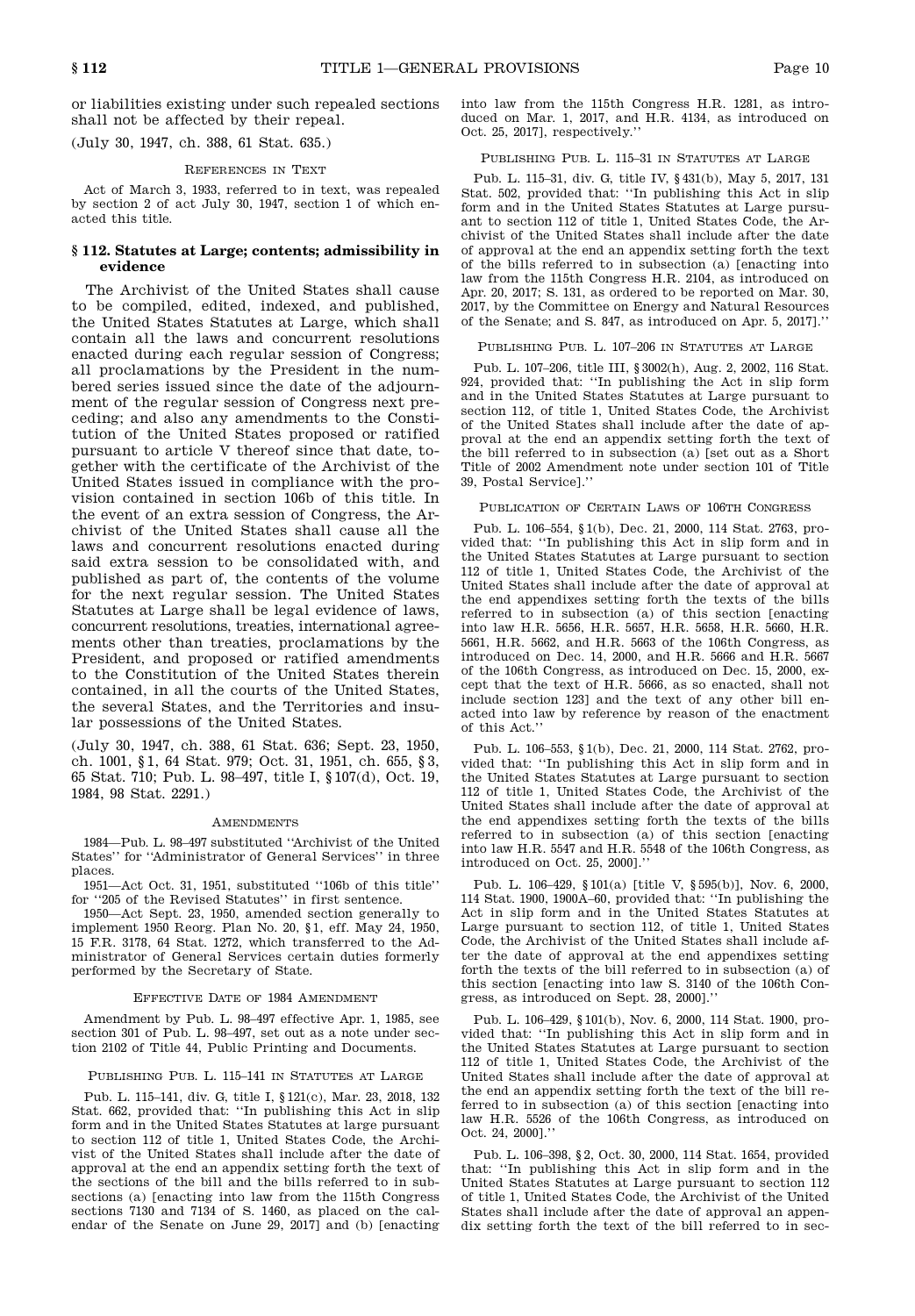or liabilities existing under such repealed sections shall not be affected by their repeal.

(July 30, 1947, ch. 388, 61 Stat. 635.)

#### References in Text

Act of March 3, 1933, referred to in text, was repealed by section 2 of act July 30, 1947, section 1 of which en acted this title.

# **§ 112. Statutes at Large; contents; admissibility in evidence**

The Archivist of the United States shall cause to be compiled, edited, indexed, and published, the United States Statutes at Large, which shall contain all the laws and concurrent resolutions enacted during each regular session of Congress; all proclamations by the President in the num bered series issued since the date of the adjourn ment of the regular session of Congress next preceding; and also any amendments to the Consti tution of the United States proposed or ratified pursuant to article V thereof since that date, to gether with the certificate of the Archivist of the United States issued in compliance with the pro vision contained in section 106b of this title. In the event of an extra session of Congress, the Ar chivist of the United States shall cause all the laws and concurrent resolutions enacted during said extra session to be consolidated with, and published as part of, the contents of the volume for the next regular session. The United States Statutes at Large shall be legal evidence of laws, concurrent resolutions, treaties, international agree ments other than treaties, proclamations by the President, and proposed or ratified amendments to the Constitution of the United States therein contained, in all the courts of the United States, the several States, and the Territories and insular possessions of the United States.

(July 30, 1947, ch. 388, 61 Stat. 636; Sept. 23, 1950, ch. 1001, § 1, 64 Stat. 979; Oct. 31, 1951, ch. 655, § 3, 65 Stat. 710; Pub. L. 98–497, title I, § 107(d), Oct. 19, 1984, 98 Stat. 2291.)

#### **AMENDMENTS**

1984—Pub. L. 98–497 substituted "Archivist of the United States" for "Administrator of General Services" in three places.

1951—Act Oct. 31, 1951, substituted "106b of this title" for "205 of the Revised Statutes" in first sentence.

1950—Act Sept. 23, 1950, amended section generally to implement 1950 Reorg. Plan No. 20, § 1, eff. May 24, 1950, 15 F.R. 3178, 64 Stat. 1272, which transferred to the Ad ministrator of General Services certain duties formerly performed by the Secretary of State.

#### Effective Date of 1984 Amendment

Amendment by Pub. L. 98–497 effective Apr. 1, 1985, see section 301 of Pub. L. 98–497, set out as a note under sec tion 2102 of Title 44, Public Printing and Documents.

#### PUBLISHING PUB. L. 115-141 IN STATUTES AT LARGE

Pub. L. 115–141, div. G, title I, § 121(c), Mar. 23, 2018, 132 Stat. 662, provided that: "In publishing this Act in slip form and in the United States Statutes at large pursuant to section 112 of title 1, United States Code, the Archi vist of the United States shall include after the date of approval at the end an appendix setting forth the text of the sections of the bill and the bills referred to in sub sections (a) [enacting into law from the 115th Congress sections 7130 and 7134 of S. 1460, as placed on the cal endar of the Senate on June 29, 2017] and (b) [enacting into law from the 115th Congress H.R. 1281, as intro duced on Mar. 1, 2017, and H.R. 4134, as introduced on Oct. 25, 2017], respectively."

# PUBLISHING PUB. L. 115-31 IN STATUTES AT LARGE

Pub. L. 115–31, div. G, title IV, § 431(b), May 5, 2017, 131 Stat. 502, provided that: "In publishing this Act in slip form and in the United States Statutes at Large pursuant to section 112 of title 1, United States Code, the Ar chivist of the United States shall include after the date of approval at the end an appendix setting forth the text of the bills referred to in subsection (a) [enacting into law from the 115th Congress H.R. 2104, as introduced on Apr. 20, 2017; S. 131, as ordered to be reported on Mar. 30, 2017, by the Committee on Energy and Natural Resources of the Senate; and S. 847, as introduced on Apr. 5, 2017]."

#### PUBLISHING PUB. L. 107-206 IN STATUTES AT LARGE

Pub. L. 107–206, title III, § 3002(h), Aug. 2, 2002, 116 Stat. 924, provided that: "In publishing the Act in slip form and in the United States Statutes at Large pursuant to section 112, of title 1, United States Code, the Archivist of the United States shall include after the date of ap proval at the end an appendix setting forth the text of the bill referred to in subsection (a) [set out as a Short Title of 2002 Amendment note under section 101 of Title 39, Postal Service]."

# PUBLICATION OF CERTAIN LAWS OF 106TH CONGRESS

Pub. L. 106–554, § 1(b), Dec. 21, 2000, 114 Stat. 2763, pro vided that: "In publishing this Act in slip form and in the United States Statutes at Large pursuant to section 112 of title 1, United States Code, the Archivist of the United States shall include after the date of approval at the end appendixes setting forth the texts of the bills referred to in subsection (a) of this section [enacting into law H.R. 5656, H.R. 5657, H.R. 5658, H.R. 5660, H.R. 5661, H.R. 5662, and H.R. 5663 of the 106th Congress, as introduced on Dec. 14, 2000, and H.R. 5666 and H.R. 5667 of the 106th Congress, as introduced on Dec. 15, 2000, ex cept that the text of H.R. 5666, as so enacted, shall not include section 123] and the text of any other bill en acted into law by reference by reason of the enactment of this Act."

Pub. L. 106–553, § 1(b), Dec. 21, 2000, 114 Stat. 2762, pro vided that: "In publishing this Act in slip form and in the United States Statutes at Large pursuant to section 112 of title 1, United States Code, the Archivist of the United States shall include after the date of approval at the end appendixes setting forth the texts of the bills referred to in subsection (a) of this section [enacting into law H.R. 5547 and H.R. 5548 of the 106th Congress, as introduced on Oct. 25, 2000]."

Pub. L. 106–429, § 101(a) [title V, § 595(b)], Nov. 6, 2000, 114 Stat. 1900, 1900A–60, provided that: "In publishing the Act in slip form and in the United States Statutes at Large pursuant to section 112, of title 1, United States Code, the Archivist of the United States shall include af ter the date of approval at the end appendixes setting forth the texts of the bill referred to in subsection (a) of this section [enacting into law S. 3140 of the 106th Con gress, as introduced on Sept. 28, 2000].'

Pub. L. 106–429, § 101(b), Nov. 6, 2000, 114 Stat. 1900, pro vided that: "In publishing this Act in slip form and in the United States Statutes at Large pursuant to section 112 of title 1, United States Code, the Archivist of the United States shall include after the date of approval at the end an appendix setting forth the text of the bill referred to in subsection (a) of this section [enacting into law H.R. 5526 of the 106th Congress, as introduced on Oct. 24, 2000]."

Pub. L. 106–398, § 2, Oct. 30, 2000, 114 Stat. 1654, provided that: "In publishing this Act in slip form and in the United States Statutes at Large pursuant to section 112 of title 1, United States Code, the Archivist of the United States shall include after the date of approval an appen dix setting forth the text of the bill referred to in sec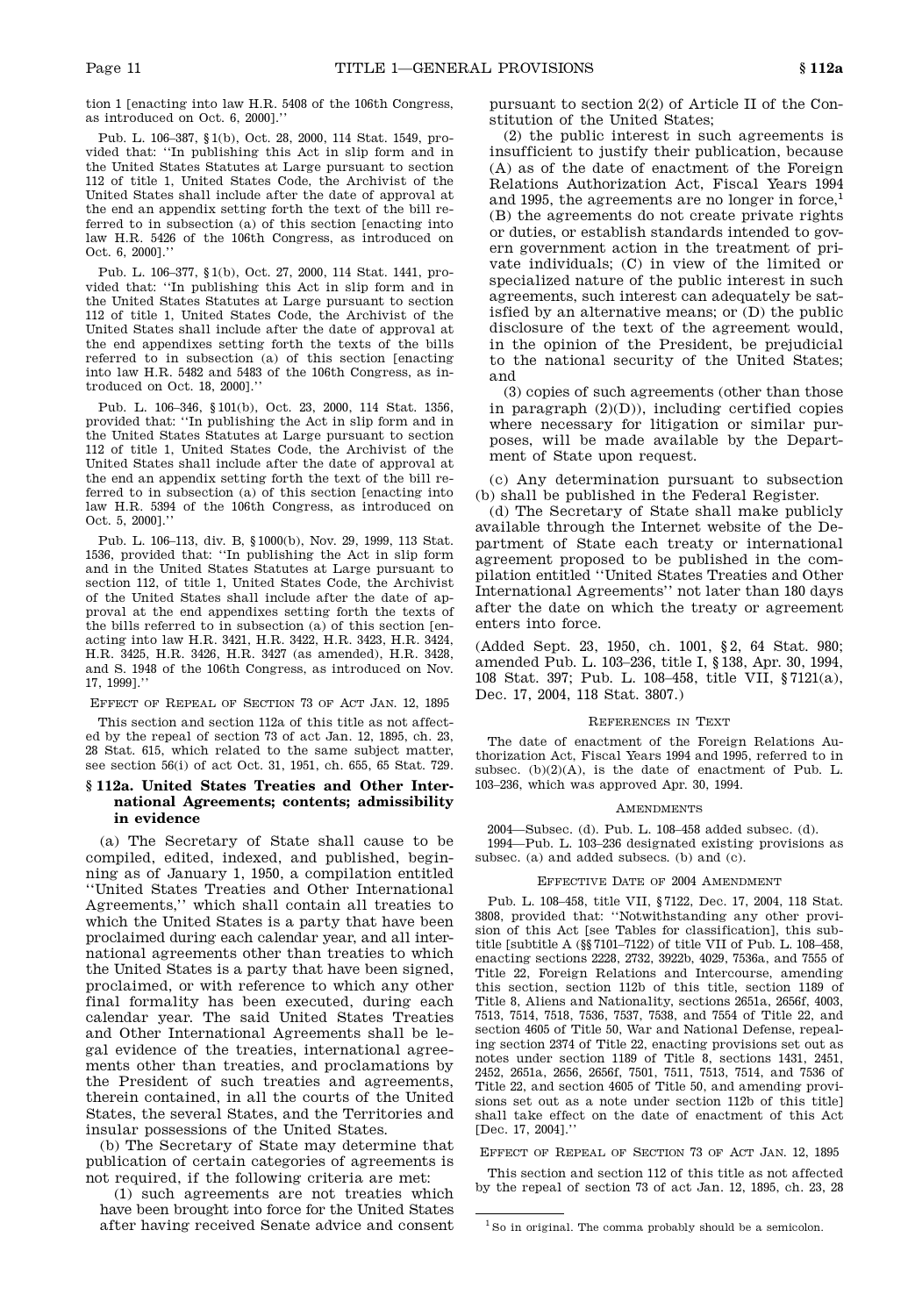tion 1 [enacting into law H.R. 5408 of the 106th Congress, as introduced on Oct. 6, 2000].'

Pub. L. 106–387, § 1(b), Oct. 28, 2000, 114 Stat. 1549, pro vided that: "In publishing this Act in slip form and in the United States Statutes at Large pursuant to section 112 of title 1, United States Code, the Archivist of the United States shall include after the date of approval at the end an appendix setting forth the text of the bill referred to in subsection (a) of this section [enacting into law H.R. 5426 of the 106th Congress, as introduced on Oct. 6, 2000].'

Pub. L. 106–377, § 1(b), Oct. 27, 2000, 114 Stat. 1441, pro vided that: "In publishing this Act in slip form and in the United States Statutes at Large pursuant to section 112 of title 1, United States Code, the Archivist of the United States shall include after the date of approval at the end appendixes setting forth the texts of the bills referred to in subsection (a) of this section [enacting into law H.R. 5482 and 5483 of the 106th Congress, as in troduced on Oct. 18, 2000]."

Pub. L. 106–346, § 101(b), Oct. 23, 2000, 114 Stat. 1356, provided that: "In publishing the Act in slip form and in the United States Statutes at Large pursuant to section 112 of title 1, United States Code, the Archivist of the United States shall include after the date of approval at the end an appendix setting forth the text of the bill referred to in subsection (a) of this section [enacting into law H.R. 5394 of the 106th Congress, as introduced on Oct. 5, 2000]."

Pub. L. 106–113, div. B, § 1000(b), Nov. 29, 1999, 113 Stat. 1536, provided that: "In publishing the Act in slip form and in the United States Statutes at Large pursuant to section 112, of title 1, United States Code, the Archivist of the United States shall include after the date of ap proval at the end appendixes setting forth the texts of the bills referred to in subsection (a) of this section [en acting into law H.R. 3421, H.R. 3422, H.R. 3423, H.R. 3424, H.R. 3425, H.R. 3426, H.R. 3427 (as amended), H.R. 3428, and S. 1948 of the 106th Congress, as introduced on Nov. 17, 1999]."

EFFECT OF REPEAL OF SECTION 73 OF ACT JAN. 12, 1895

This section and section 112a of this title as not affect ed by the repeal of section 73 of act Jan. 12, 1895, ch. 23, 28 Stat. 615, which related to the same subject matter, see section 56(i) of act Oct. 31, 1951, ch. 655, 65 Stat. 729.

# **§ 112a. United States Treaties and Other International Agreements; contents; admissibility in evidence**

(a) The Secretary of State shall cause to be compiled, edited, indexed, and published, begin ning as of January 1, 1950, a compilation entitled "United States Treaties and Other International Agreements," which shall contain all treaties to which the United States is a party that have been proclaimed during each calendar year, and all inter national agreements other than treaties to which the United States is a party that have been signed, proclaimed, or with reference to which any other final formality has been executed, during each calendar year. The said United States Treaties and Other International Agreements shall be le gal evidence of the treaties, international agree ments other than treaties, and proclamations by the President of such treaties and agreements, therein contained, in all the courts of the United States, the several States, and the Territories and insular possessions of the United States.

(b) The Secretary of State may determine that publication of certain categories of agreements is not required, if the following criteria are met:

(1) such agreements are not treaties which have been brought into force for the United States after having received Senate advice and consent pursuant to section 2(2) of Article II of the Con stitution of the United States;

(2) the public interest in such agreements is insufficient to justify their publication, because (A) as of the date of enactment of the Foreign Relations Authorization Act, Fiscal Years 1994 and 1995, the agreements are no longer in force, 1 (B) the agreements do not create private rights or duties, or establish standards intended to gov ern government action in the treatment of pri vate individuals; (C) in view of the limited or specialized nature of the public interest in such agreements, such interest can adequately be satisfied by an alternative means; or (D) the public disclosure of the text of the agreement would, in the opinion of the President, be prejudicial to the national security of the United States; and

(3) copies of such agreements (other than those in paragraph  $(2)(D)$ ), including certified copies where necessary for litigation or similar pur poses, will be made available by the Depart ment of State upon request.

(c) Any determination pursuant to subsection (b) shall be published in the Federal Register.

(d) The Secretary of State shall make publicly available through the Internet website of the Department of State each treaty or international agreement proposed to be published in the com pilation entitled "United States Treaties and Other International Agreements" not later than 180 days after the date on which the treaty or agreement enters into force.

(Added Sept. 23, 1950, ch. 1001, § 2, 64 Stat. 980; amended Pub. L. 103–236, title I, § 138, Apr. 30, 1994, 108 Stat. 397; Pub. L. 108–458, title VII, § 7121(a), Dec. 17, 2004, 118 Stat. 3807.)

# References in Text

The date of enactment of the Foreign Relations Au thorization Act, Fiscal Years 1994 and 1995, referred to in subsec. (b)(2)(A), is the date of enactment of Pub. L. 103–236, which was approved Apr. 30, 1994.

#### **AMENDMENTS**

2004—Subsec. (d). Pub. L. 108–458 added subsec. (d). 1994—Pub. L. 103–236 designated existing provisions as subsec. (a) and added subsecs. (b) and (c).

# Effective Date of 2004 Amendment

Pub. L. 108–458, title VII, § 7122, Dec. 17, 2004, 118 Stat. 3808, provided that: "Notwithstanding any other provi sion of this Act [see Tables for classification], this sub title [subtitle A (§§ 7101–7122) of title VII of Pub. L. 108–458, enacting sections 2228, 2732, 3922b, 4029, 7536a, and 7555 of Title 22, Foreign Relations and Intercourse, amending this section, section 112b of this title, section 1189 of Title 8, Aliens and Nationality, sections 2651a, 2656f, 4003, 7513, 7514, 7518, 7536, 7537, 7538, and 7554 of Title 22, and section 4605 of Title 50, War and National Defense, repealing section 2374 of Title 22, enacting provisions set out as notes under section 1189 of Title 8, sections 1431, 2451, 2452, 2651a, 2656, 2656f, 7501, 7511, 7513, 7514, and 7536 of Title 22, and section 4605 of Title 50, and amending provi sions set out as a note under section 112b of this title] shall take effect on the date of enactment of this Act [Dec. 17, 2004]."

Effect of Repeal of Section 73 of Act Jan. 12, 1895

This section and section 112 of this title as not affected by the repeal of section 73 of act Jan. 12, 1895, ch. 23, 28

 $1$  So in original. The comma probably should be a semicolon.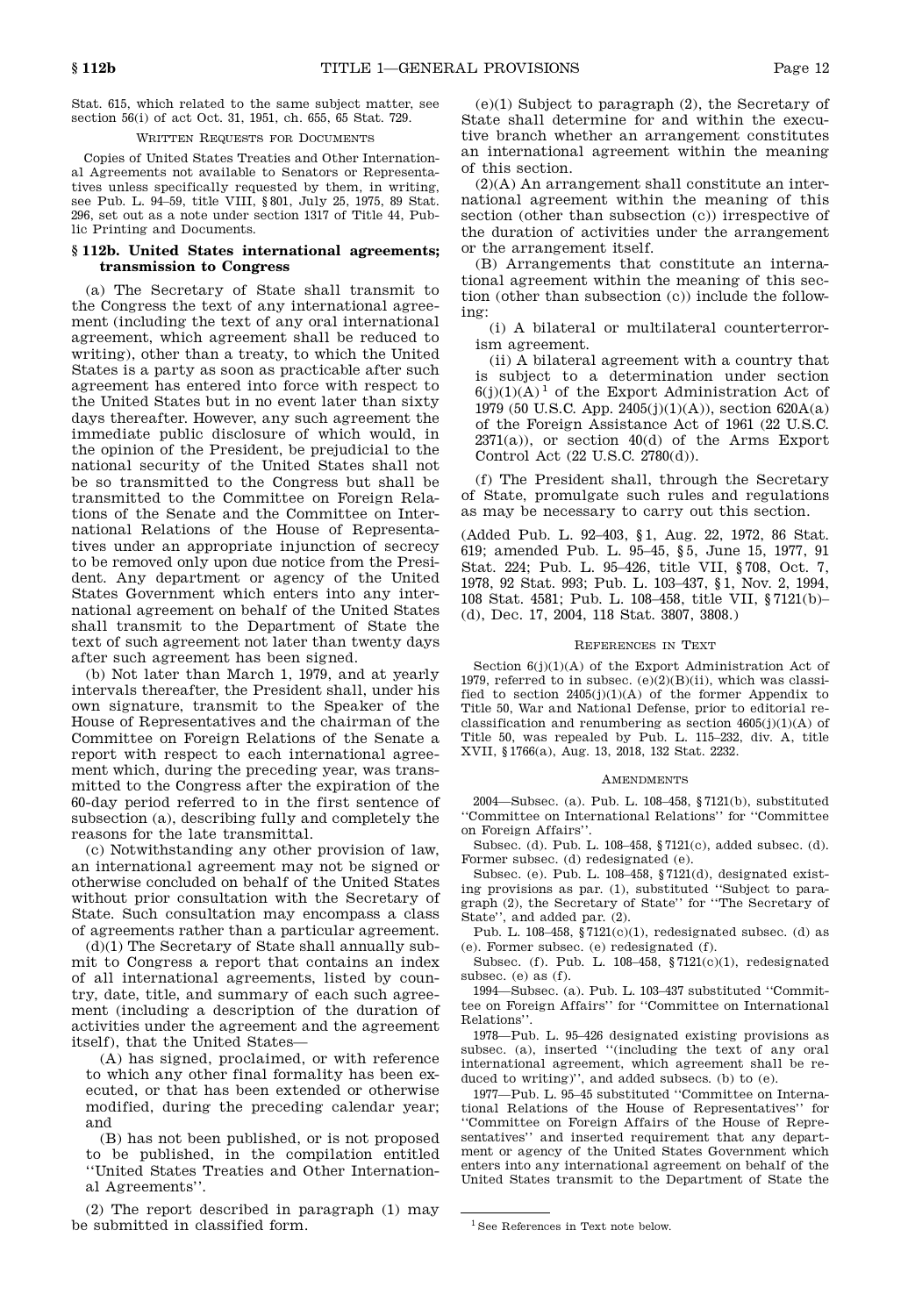Stat. 615, which related to the same subject matter, see section 56(i) of act Oct. 31, 1951, ch. 655, 65 Stat. 729.

#### WRITTEN REQUESTS FOR DOCUMENTS

Copies of United States Treaties and Other Internation al Agreements not available to Senators or Representa tives unless specifically requested by them, in writing, see Pub. L. 94–59, title VIII, § 801, July 25, 1975, 89 Stat. 296, set out as a note under section 1317 of Title 44, Public Printing and Documents.

# **§ 112b. United States international agreements; transmission to Congress**

(a) The Secretary of State shall transmit to the Congress the text of any international agree- $\frac{1001}{\text{mg}}$ ment (including the text of any oral international agreement, which agreement shall be reduced to writing), other than a treaty, to which the United States is a party as soon as practicable after such agreement has entered into force with respect to the United States but in no event later than sixty days thereafter. However, any such agreement the immediate public disclosure of which would, in the opinion of the President, be prejudicial to the national security of the United States shall not be so transmitted to the Congress but shall be transmitted to the Committee on Foreign Rela tions of the Senate and the Committee on Inter national Relations of the House of Representa tives under an appropriate injunction of secrecy to be removed only upon due notice from the Presi dent. Any department or agency of the United States Government which enters into any inter national agreement on behalf of the United States shall transmit to the Department of State the text of such agreement not later than twenty days after such agreement has been signed.

(b) Not later than March 1, 1979, and at yearly intervals thereafter, the President shall, under his own signature, transmit to the Speaker of the House of Representatives and the chairman of the Committee on Foreign Relations of the Senate a report with respect to each international agree ment which, during the preceding year, was trans mitted to the Congress after the expiration of the 60-day period referred to in the first sentence of subsection (a), describing fully and completely the reasons for the late transmittal.

(c) Notwithstanding any other provision of law, an international agreement may not be signed or otherwise concluded on behalf of the United States without prior consultation with the Secretary of State. Such consultation may encompass a class of agreements rather than a particular agreement.

(d)(1) The Secretary of State shall annually sub mit to Congress a report that contains an index of all international agreements, listed by coun try, date, title, and summary of each such agree ment (including a description of the duration of activities under the agreement and the agreement itself), that the United States—

(A) has signed, proclaimed, or with reference to which any other final formality has been ex ecuted, or that has been extended or otherwise modified, during the preceding calendar year; and

(B) has not been published, or is not proposed to be published, in the compilation entitled "United States Treaties and Other Internation al Agreements".

(2) The report described in paragraph (1) may be submitted in classified form.

(e)(1) Subject to paragraph (2), the Secretary of State shall determine for and within the execu tive branch whether an arrangement constitutes an international agreement within the meaning of this section.

(2)(A) An arrangement shall constitute an inter national agreement within the meaning of this section (other than subsection (c)) irrespective of the duration of activities under the arrangement or the arrangement itself.

(B) Arrangements that constitute an interna tional agreement within the meaning of this sec tion (other than subsection (c)) include the follow-

(i) A bilateral or multilateral counterterrorism agreement.

(ii) A bilateral agreement with a country that is subject to a determination under section  $6(j)(1)(A)^1$  of the Export Administration Act of 1979 (50 U.S.C. App. 2405(j)(1)(A)), section 620A(a) of the Foreign Assistance Act of 1961 (22 U.S.C. 2371(a)), or section 40(d) of the Arms Export Control Act (22 U.S.C. 2780(d)).

(f) The President shall, through the Secretary of State, promulgate such rules and regulations as may be necessary to carry out this section.

(Added Pub. L. 92–403, § 1, Aug. 22, 1972, 86 Stat. 619; amended Pub. L. 95–45, § 5, June 15, 1977, 91 Stat. 224; Pub. L. 95–426, title VII, § 708, Oct. 7, 1978, 92 Stat. 993; Pub. L. 103–437, § 1, Nov. 2, 1994, 108 Stat. 4581; Pub. L. 108–458, title VII, § 7121(b)– (d), Dec. 17, 2004, 118 Stat. 3807, 3808.)

#### References in Text

Section  $6(j)(1)(A)$  of the Export Administration Act of 1979, referred to in subsec.  $(e)(2)(B)(ii)$ , which was classified to section  $2405(j)(1)(A)$  of the former Appendix to Title 50, War and National Defense, prior to editorial re classification and renumbering as section  $4605(j)(1)(A)$  of Title 50, was repealed by Pub. L. 115–232, div. A, title XVII, § 1766(a), Aug. 13, 2018, 132 Stat. 2232.

# **AMENDMENTS**

2004—Subsec. (a). Pub. L. 108–458, § 7121(b), substituted "Committee on International Relations" for "Committee on Foreign Affairs".

Subsec. (d). Pub. L. 108–458, § 7121(c), added subsec. (d). Former subsec. (d) redesignated (e).

Subsec. (e). Pub. L. 108–458, § 7121(d), designated existing provisions as par. (1), substituted "Subject to para graph (2), the Secretary of State" for "The Secretary of State", and added par. (2).

Pub. L. 108-458,  $$7121(c)(1)$ , redesignated subsec. (d) as (e). Former subsec. (e) redesignated (f).

Subsec. (f). Pub. L. 108–458, § 7121(c)(1), redesignated subsec. (e) as (f).

1994—Subsec. (a). Pub. L. 103–437 substituted "Commit tee on Foreign Affairs" for "Committee on International Relations".

1978—Pub. L. 95–426 designated existing provisions as subsec. (a), inserted "(including the text of any oral international agreement, which agreement shall be reduced to writing)", and added subsecs. (b) to (e).

1977—Pub. L. 95–45 substituted "Committee on Interna tional Relations of the House of Representatives" for "Committee on Foreign Affairs of the House of Repre sentatives" and inserted requirement that any depart ment or agency of the United States Government which enters into any international agreement on behalf of the United States transmit to the Department of State the

<sup>&</sup>lt;sup>1</sup> See References in Text note below.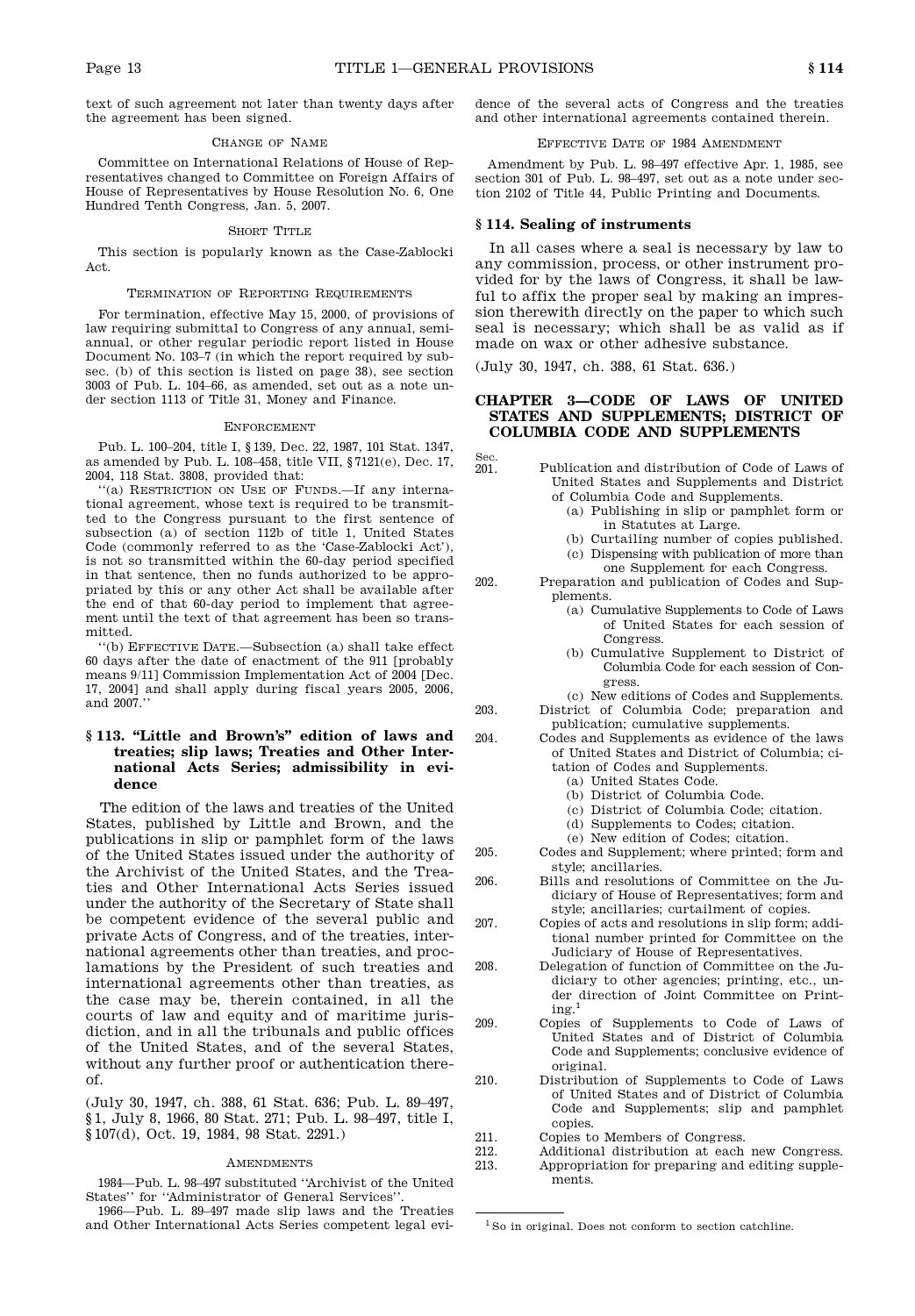Sec.

text of such agreement not later than twenty days after the agreement has been signed.

#### Change of Name

Committee on International Relations of House of Rep resentatives changed to Committee on Foreign Affairs of House of Representatives by House Resolution No. 6, One Hundred Tenth Congress, Jan. 5, 2007.

# SHORT TITLE

This section is popularly known as the Case-Zablocki Act.

#### Termination of Reporting Requirements

For termination, effective May 15, 2000, of provisions of law requiring submittal to Congress of any annual, semi annual, or other regular periodic report listed in House Document No. 103–7 (in which the report required by sub sec. (b) of this section is listed on page 38), see section 3003 of Pub. L. 104–66, as amended, set out as a note un der section 1113 of Title 31, Money and Finance.

#### **ENFORCEMENT**

Pub. L. 100–204, title I, § 139, Dec. 22, 1987, 101 Stat. 1347, as amended by Pub. L. 108–458, title VII,  $\frac{87121}{6}$ , Dec. 17, Sec. 201. 2004, 118 Stat. 3808, provided that:

"(a) RESTRICTION ON USE OF FUNDS.—If any international agreement, whose text is required to be transmit ted to the Congress pursuant to the first sentence of subsection (a) of section 112b of title 1, United States Code (commonly referred to as the 'Case-Zablocki Act'), is not so transmitted within the 60-day period specified in that sentence, then no funds authorized to be appro priated by this or any other Act shall be available after the end of that 60-day period to implement that agree ment until the text of that agreement has been so trans mitted.

"(b) EFFECTIVE DATE.—Subsection (a) shall take effect 60 days after the date of enactment of the 911 [probably means 9/11] Commission Implementation Act of 2004 [Dec. 17, 2004] and shall apply during fiscal years 2005, 2006, and 2007

# **§ 113. "Little and Brown's" edition of laws and treaties; slip laws; Treaties and Other International Acts Series; admissibility in evidence**

The edition of the laws and treaties of the United States, published by Little and Brown, and the publications in slip or pamphlet form of the laws<br>of the United States issued under the authority of  $^{205}$ of the United States issued under the authority of the Archivist of the United States, and the Trea ties and Other International Acts Series issued under the authority of the Secretary of State shall be competent evidence of the several public and  $_{207}$ private Acts of Congress, and of the treaties, inter national agreements other than treaties, and proclamations by the President of such treaties and international agreements other than treaties, as the case may be, therein contained, in all the courts of law and equity and of maritime juris diction, and in all the tribunals and public offices of the United States, and of the several States, without any further proof or authentication there of.

(July 30, 1947, ch. 388, 61 Stat. 636; Pub. L. 89–497, § 1, July 8, 1966, 80 Stat. 271; Pub. L. 98–497, title I, § 107(d), Oct. 19, 1984, 98 Stat. 2291.)

#### **AMENDMENTS**

1984—Pub. L. 98–497 substituted "Archivist of the United States" for "Administrator of General Services".

1966—Pub. L. 89–497 made slip laws and the Treaties and Other International Acts Series competent legal evidence of the several acts of Congress and the treaties and other international agreements contained therein.

# Effective Date of 1984 Amendment

Amendment by Pub. L. 98–497 effective Apr. 1, 1985, see section 301 of Pub. L. 98–497, set out as a note under sec tion 2102 of Title 44, Public Printing and Documents.

# **§ 114. Sealing of instruments**

In all cases where a seal is necessary by law to any commission, process, or other instrument pro vided for by the laws of Congress, it shall be lawful to affix the proper seal by making an impres sion therewith directly on the paper to which such seal is necessary; which shall be as valid as if made on wax or other adhesive substance.

(July 30, 1947, ch. 388, 61 Stat. 636.)

# **CHAPTER 3—CODE OF LAWS OF UNITED STATES AND SUPPLEMENTS; DISTRICT OF COLUMBIA CODE AND SUPPLEMENTS**

- Publication and distribution of Code of Laws of United States and Supplements and District of Columbia Code and Supplements.
	- (a) Publishing in slip or pamphlet form or in Statutes at Large.
	- (b) Curtailing number of copies published. (c) Dispensing with publication of more than
	- one Supplement for each Congress. Preparation and publication of Codes and Sup
		- plements.
			- (a) Cumulative Supplements to Code of Laws of United States for each session of Congress.
			- (b) Cumulative Supplement to District of Columbia Code for each session of Con gress.
- (c) New editions of Codes and Supplements. 203. District of Columbia Code; preparation and
	- publication; cumulative supplements.
		- Codes and Supplements as evidence of the laws of United States and District of Columbia; ci tation of Codes and Supplements.
			- (a) United States Code.
			- (b) District of Columbia Code.
			- (c) District of Columbia Code; citation.
			- (d) Supplements to Codes; citation.
			- (e) New edition of Codes; citation.
	- 205. Codes and Supplement; where printed; form and style; ancillaries.
	- Bills and resolutions of Committee on the Judiciary of House of Representatives; form and style; ancillaries; curtailment of copies.
	- 207. Copies of acts and resolutions in slip form; addi tional number printed for Committee on the Judiciary of House of Representatives.
	- Delegation of function of Committee on the Judiciary to other agencies; printing, etc., un der direction of Joint Committee on Printing. 1
	- 209. Copies of Supplements to Code of Laws of United States and of District of Columbia Code and Supplements; conclusive evidence of original.
- 210. Distribution of Supplements to Code of Laws of United States and of District of Columbia Code and Supplements; slip and pamphlet copies.
- 211. Copies to Members of Congress.<br>212. Additional distribution at each
- Additional distribution at each new Congress.
- 213. Appropriation for preparing and editing supple ments.

 $1$  So in original. Does not conform to section catchline.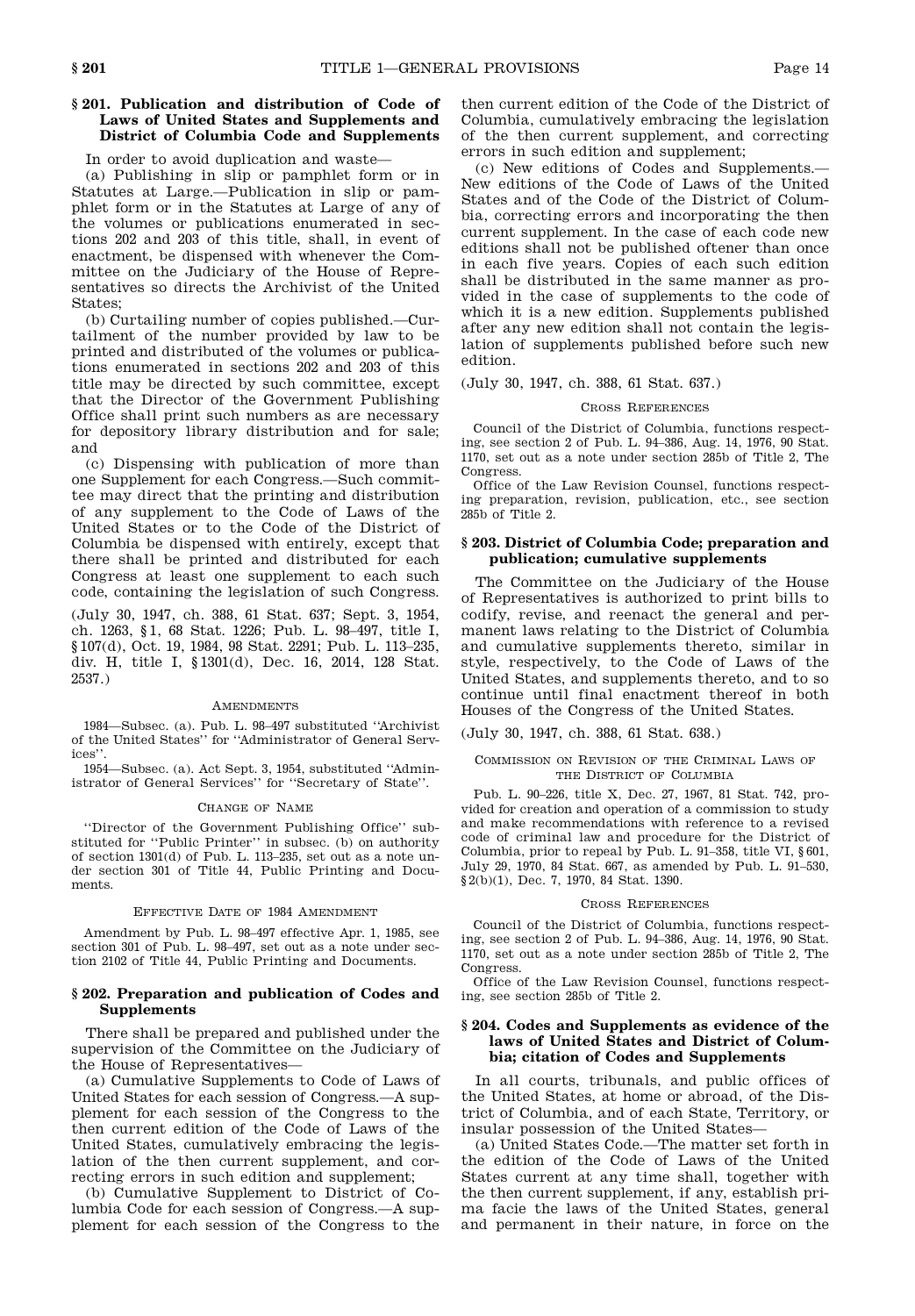# **§ 201. Publication and distribution of Code of Laws of United States and Supplements and District of Columbia Code and Supplements**

# In order to avoid duplication and waste—

(a) Publishing in slip or pamphlet form or in Statutes at Large.—Publication in slip or pam phlet form or in the Statutes at Large of any of the volumes or publications enumerated in sec tions 202 and 203 of this title, shall, in event of enactment, be dispensed with whenever the Com mittee on the Judiciary of the House of Repre sentatives so directs the Archivist of the United States;

(b) Curtailing number of copies published.—Cur tailment of the number provided by law to be printed and distributed of the volumes or publica tions enumerated in sections 202 and 203 of this title may be directed by such committee, except that the Director of the Government Publishing Office shall print such numbers as are necessary for depository library distribution and for sale; and

(c) Dispensing with publication of more than one Supplement for each Congress.—Such commit tee may direct that the printing and distribution of any supplement to the Code of Laws of the United States or to the Code of the District of Columbia be dispensed with entirely, except that there shall be printed and distributed for each Congress at least one supplement to each such code, containing the legislation of such Congress.

(July 30, 1947, ch. 388, 61 Stat. 637; Sept. 3, 1954, ch. 1263, § 1, 68 Stat. 1226; Pub. L. 98–497, title I, § 107(d), Oct. 19, 1984, 98 Stat. 2291; Pub. L. 113-235, div. H, title I, § 1301(d), Dec. 16, 2014, 128 Stat. 2537.)

#### **AMENDMENTS**

1984—Subsec. (a). Pub. L. 98–497 substituted "Archivist of the United States" for "Administrator of General Services".

1954—Subsec. (a). Act Sept. 3, 1954, substituted "Administrator of General Services" for "Secretary of State".

#### Change of Name

"Director of the Government Publishing Office" sub stituted for "Public Printer" in subsec. (b) on authority of section 1301(d) of Pub. L. 113–235, set out as a note un der section 301 of Title 44, Public Printing and Docu ments.

# Effective Date of 1984 Amendment

Amendment by Pub. L. 98–497 effective Apr. 1, 1985, see section 301 of Pub. L. 98–497, set out as a note under sec tion 2102 of Title 44, Public Printing and Documents.

# **§ 202. Preparation and publication of Codes and Supplements**

There shall be prepared and published under the supervision of the Committee on the Judiciary of the House of Representatives—

(a) Cumulative Supplements to Code of Laws of United States for each session of Congress.—A sup plement for each session of the Congress to the then current edition of the Code of Laws of the United States, cumulatively embracing the legislation of the then current supplement, and cor recting errors in such edition and supplement;

(b) Cumulative Supplement to District of Columbia Code for each session of Congress.—A sup plement for each session of the Congress to the then current edition of the Code of the District of Columbia, cumulatively embracing the legislation of the then current supplement, and correcting errors in such edition and supplement;

(c) New editions of Codes and Supplements.— New editions of the Code of Laws of the United States and of the Code of the District of Colum bia, correcting errors and incorporating the then current supplement. In the case of each code new editions shall not be published oftener than once in each five years. Copies of each such edition shall be distributed in the same manner as pro vided in the case of supplements to the code of which it is a new edition. Supplements published after any new edition shall not contain the legislation of supplements published before such new edition.

# (July 30, 1947, ch. 388, 61 Stat. 637.)

# Cross References

Council of the District of Columbia, functions respecting, see section 2 of Pub. L. 94–386, Aug. 14, 1976, 90 Stat. 1170, set out as a note under section 285b of Title 2, The Congress.

Office of the Law Revision Counsel, functions respecting preparation, revision, publication, etc., see section 285b of Title 2.

# **§ 203. District of Columbia Code; preparation and publication; cumulative supplements**

The Committee on the Judiciary of the House of Representatives is authorized to print bills to codify, revise, and reenact the general and per manent laws relating to the District of Columbia and cumulative supplements thereto, similar in style, respectively, to the Code of Laws of the United States, and supplements thereto, and to so continue until final enactment thereof in both Houses of the Congress of the United States.

(July 30, 1947, ch. 388, 61 Stat. 638.)

#### Commission on Revision of the Criminal Laws of THE DISTRICT OF COLUMBIA

Pub. L. 90–226, title X, Dec. 27, 1967, 81 Stat. 742, pro vided for creation and operation of a commission to study and make recommendations with reference to a revised code of criminal law and procedure for the District of Columbia, prior to repeal by Pub. L. 91–358, title VI, § 601, July 29, 1970, 84 Stat. 667, as amended by Pub. L. 91–530, § 2(b)(1), Dec. 7, 1970, 84 Stat. 1390.

#### Cross References

Council of the District of Columbia, functions respecting, see section 2 of Pub. L. 94–386, Aug. 14, 1976, 90 Stat. 1170, set out as a note under section 285b of Title 2, The Congress.

Office of the Law Revision Counsel, functions respecting, see section 285b of Title 2.

# **§ 204. Codes and Supplements as evidence of the laws of United States and District of Columbia; citation of Codes and Supplements**

In all courts, tribunals, and public offices of the United States, at home or abroad, of the Dis trict of Columbia, and of each State, Territory, or insular possession of the United States—

(a) United States Code.—The matter set forth in the edition of the Code of Laws of the United States current at any time shall, together with the then current supplement, if any, establish pri ma facie the laws of the United States, general and permanent in their nature, in force on the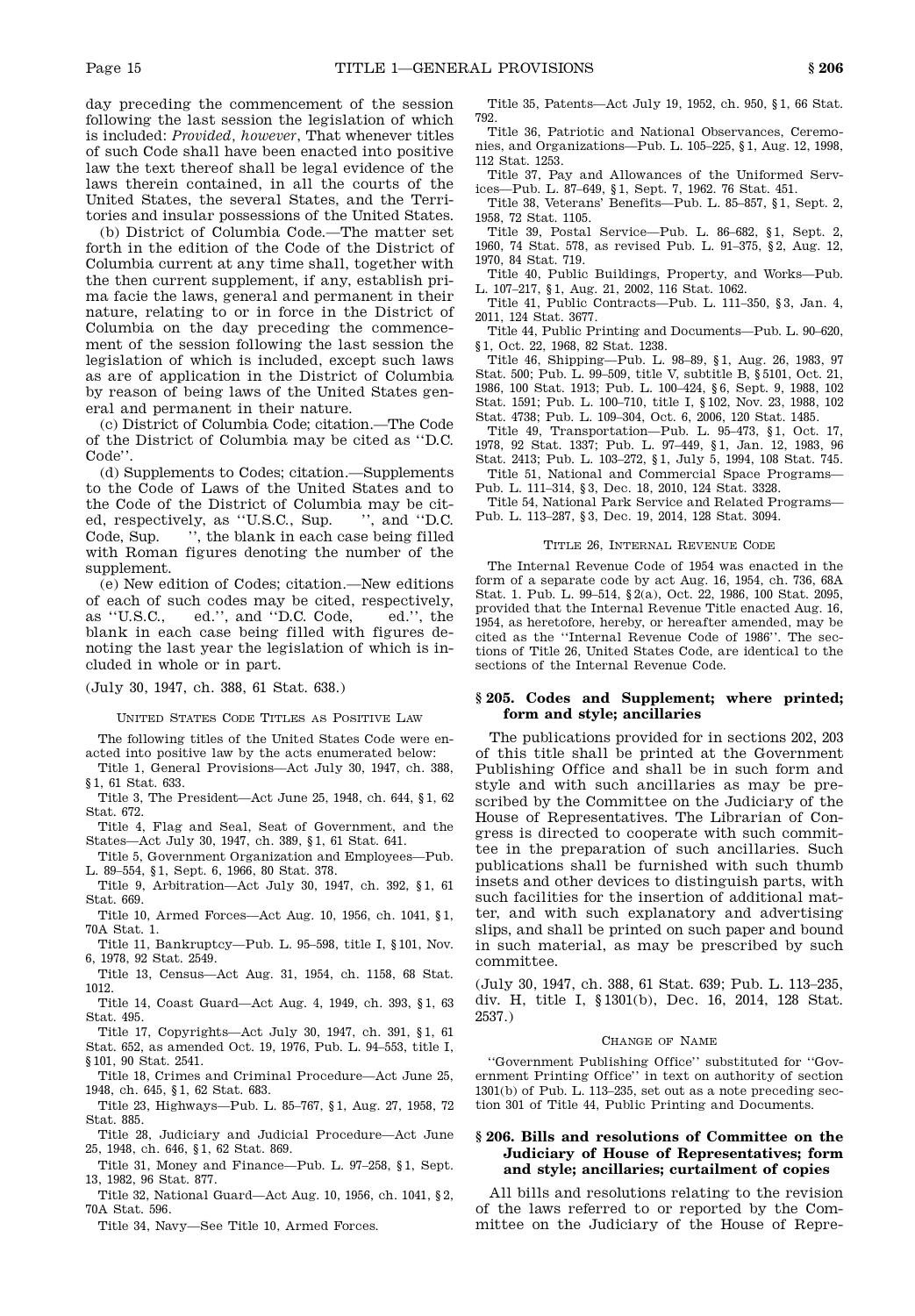day preceding the commencement of the session following the last session the legislation of which is included: *Provided, however*, That whenever titles of such Code shall have been enacted into positive law the text thereof shall be legal evidence of the laws therein contained, in all the courts of the United States, the several States, and the Terri tories and insular possessions of the United States.

(b) District of Columbia Code.—The matter set forth in the edition of the Code of the District of Columbia current at any time shall, together with the then current supplement, if any, establish pri ma facie the laws, general and permanent in their nature, relating to or in force in the District of Columbia on the day preceding the commence ment of the session following the last session the legislation of which is included, except such laws as are of application in the District of Columbia by reason of being laws of the United States gen eral and permanent in their nature.

(c) District of Columbia Code; citation.—The Code of the District of Columbia may be cited as "D.C. Code".

(d) Supplements to Codes; citation.—Supplements to the Code of Laws of the United States and to the Code of the District of Columbia may be cit-<br>ed, respectively, as "U.S.C., Sup. ", and "D.C. ed, respectively, as "U.S.C., Sup. Code, Sup. ", the blank in each case being filled with Roman figures denoting the number of the supplement.

(e) New edition of Codes; citation.—New editions of each of such codes may be cited, respectively, as "U.S.C., ed.", and "D.C. Code, ed.", the blank in each case being filled with figures de noting the last year the legislation of which is in cluded in whole or in part.

(July 30, 1947, ch. 388, 61 Stat. 638.)

United States Code Titles as Positive Law

The following titles of the United States Code were en acted into positive law by the acts enumerated below:

Title 1, General Provisions—Act July 30, 1947, ch. 388, § 1, 61 Stat. 633.

Title 3, The President—Act June 25, 1948, ch. 644, § 1, 62 Stat. 672.

Title 4, Flag and Seal, Seat of Government, and the States—Act July 30, 1947, ch. 389, § 1, 61 Stat. 641.

Title 5, Government Organization and Employees—Pub. L. 89–554, § 1, Sept. 6, 1966, 80 Stat. 378.

Title 9, Arbitration—Act July 30, 1947, ch. 392, § 1, 61 Stat. 669.

Title 10, Armed Forces—Act Aug. 10, 1956, ch. 1041, § 1, 70A Stat. 1.

Title 11, Bankruptcy—Pub. L. 95–598, title I, § 101, Nov. 6, 1978, 92 Stat. 2549.

Title 13, Census—Act Aug. 31, 1954, ch. 1158, 68 Stat. 1012.

Title 14, Coast Guard—Act Aug. 4, 1949, ch. 393, § 1, 63 Stat. 495.

Title 17, Copyrights—Act July 30, 1947, ch. 391, § 1, 61 Stat. 652, as amended Oct. 19, 1976, Pub. L. 94–553, title I,

§ 101, 90 Stat. 2541.

Title 18, Crimes and Criminal Procedure—Act June 25, 1948, ch. 645, § 1, 62 Stat. 683.

Title 23, Highways—Pub. L. 85–767, § 1, Aug. 27, 1958, 72 Stat. 885.

Title 28, Judiciary and Judicial Procedure—Act June 25, 1948, ch. 646, § 1, 62 Stat. 869.

Title 31, Money and Finance—Pub. L. 97–258, § 1, Sept. 13, 1982, 96 Stat. 877.

Title 32, National Guard—Act Aug. 10, 1956, ch. 1041, § 2, 70A Stat. 596.

Title 34, Navy—See Title 10, Armed Forces.

Title 35, Patents—Act July 19, 1952, ch. 950, § 1, 66 Stat. 792.

Title 36, Patriotic and National Observances, Ceremo nies, and Organizations—Pub. L. 105–225, § 1, Aug. 12, 1998, 112 Stat. 1253.

Title 37, Pay and Allowances of the Uniformed Services—Pub. L. 87–649, § 1, Sept. 7, 1962. 76 Stat. 451.

Title 38, Veterans' Benefits—Pub. L. 85–857, § 1, Sept. 2, 1958, 72 Stat. 1105.

Title 39, Postal Service—Pub. L. 86–682, § 1, Sept. 2, 1960, 74 Stat. 578, as revised Pub. L. 91–375, § 2, Aug. 12, 1970, 84 Stat. 719.

Title 40, Public Buildings, Property, and Works—Pub. L. 107–217, § 1, Aug. 21, 2002, 116 Stat. 1062.

Title 41, Public Contracts—Pub. L. 111–350, § 3, Jan. 4, 2011, 124 Stat. 3677.

Title 44, Public Printing and Documents—Pub. L. 90–620, § 1, Oct. 22, 1968, 82 Stat. 1238.

Title 46, Shipping—Pub. L. 98–89, § 1, Aug. 26, 1983, 97 Stat. 500; Pub. L. 99–509, title V, subtitle B, § 5101, Oct. 21, 1986, 100 Stat. 1913; Pub. L. 100–424, § 6, Sept. 9, 1988, 102 Stat. 1591; Pub. L. 100–710, title I, § 102, Nov. 23, 1988, 102 Stat. 4738; Pub. L. 109–304, Oct. 6, 2006, 120 Stat. 1485.

Title 49, Transportation—Pub. L. 95–473, § 1, Oct. 17, 1978, 92 Stat. 1337; Pub. L. 97–449, § 1, Jan. 12, 1983, 96 Stat. 2413; Pub. L. 103–272, § 1, July 5, 1994, 108 Stat. 745.

Title 51, National and Commercial Space Programs— Pub. L. 111–314, § 3, Dec. 18, 2010, 124 Stat. 3328.

Title 54, National Park Service and Related Programs— Pub. L. 113–287, § 3, Dec. 19, 2014, 128 Stat. 3094.

#### TITLE 26, INTERNAL REVENUE CODE

The Internal Revenue Code of 1954 was enacted in the form of a separate code by act Aug. 16, 1954, ch. 736, 68A Stat. 1. Pub. L. 99–514, § 2(a), Oct. 22, 1986, 100 Stat. 2095, provided that the Internal Revenue Title enacted Aug. 16, 1954, as heretofore, hereby, or hereafter amended, may be cited as the "Internal Revenue Code of 1986". The sec tions of Title 26, United States Code, are identical to the sections of the Internal Revenue Code.

# **§ 205. Codes and Supplement; where printed; form and style; ancillaries**

The publications provided for in sections 202, 203 of this title shall be printed at the Government Publishing Office and shall be in such form and style and with such ancillaries as may be pre scribed by the Committee on the Judiciary of the House of Representatives. The Librarian of Con gress is directed to cooperate with such commit tee in the preparation of such ancillaries. Such publications shall be furnished with such thumb insets and other devices to distinguish parts, with such facilities for the insertion of additional mat ter, and with such explanatory and advertising slips, and shall be printed on such paper and bound in such material, as may be prescribed by such committee.

(July 30, 1947, ch. 388, 61 Stat. 639; Pub. L. 113–235, div. H, title I, § 1301(b), Dec. 16, 2014, 128 Stat. 2537.)

#### Change of Name

"Government Publishing Office" substituted for "Gov ernment Printing Office" in text on authority of section 1301(b) of Pub. L. 113–235, set out as a note preceding sec tion 301 of Title 44, Public Printing and Documents.

# **§ 206. Bills and resolutions of Committee on the Judiciary of House of Representatives; form and style; ancillaries; curtailment of copies**

All bills and resolutions relating to the revision of the laws referred to or reported by the Com mittee on the Judiciary of the House of Repre-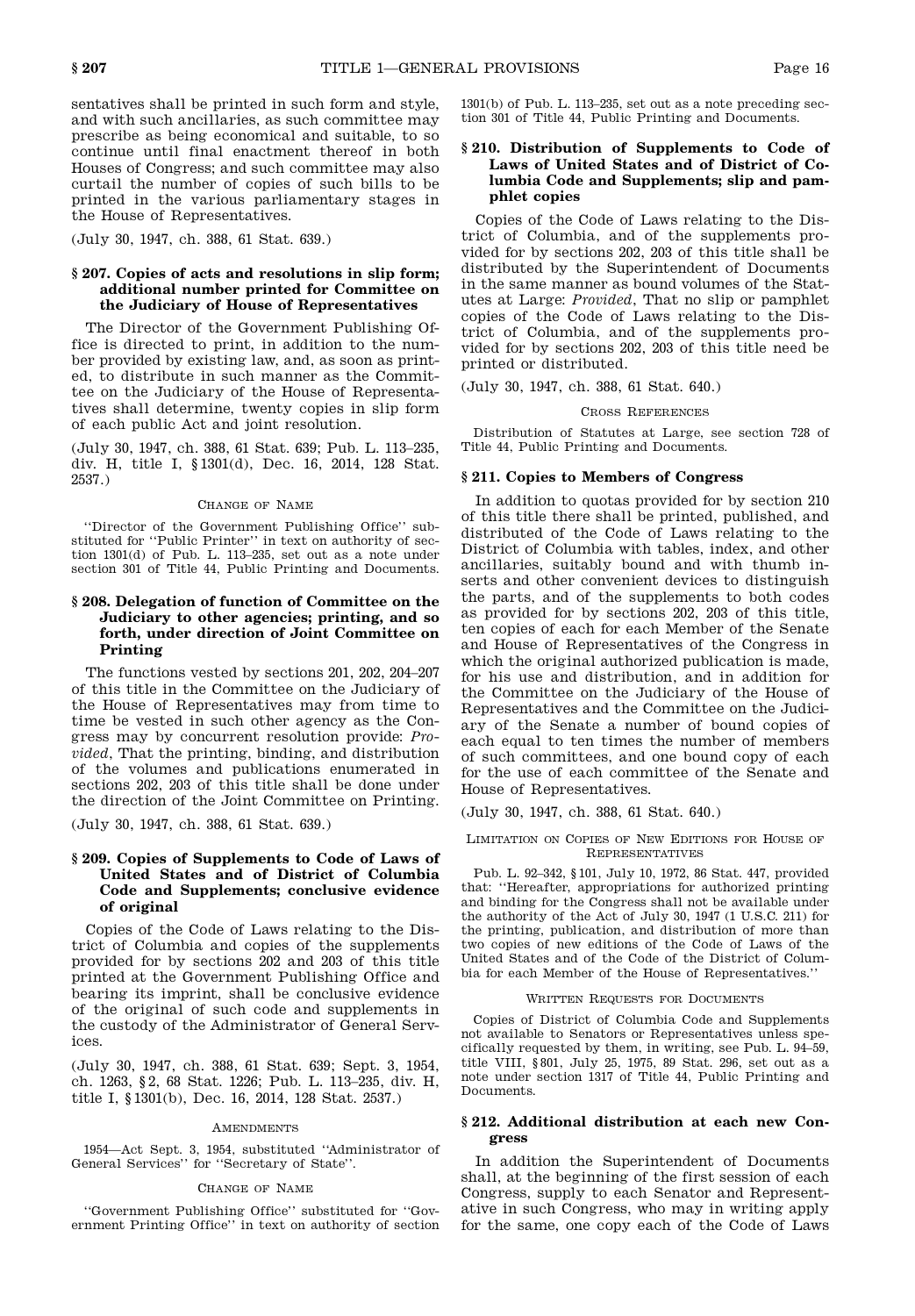sentatives shall be printed in such form and style, and with such ancillaries, as such committee may prescribe as being economical and suitable, to so continue until final enactment thereof in both Houses of Congress; and such committee may also curtail the number of copies of such bills to be printed in the various parliamentary stages in the House of Representatives.

(July 30, 1947, ch. 388, 61 Stat. 639.)

# **§ 207. Copies of acts and resolutions in slip form; additional number printed for Committee on the Judiciary of House of Representatives**

The Director of the Government Publishing Office is directed to print, in addition to the num ber provided by existing law, and, as soon as print ed, to distribute in such manner as the Commit tee on the Judiciary of the House of Representa tives shall determine, twenty copies in slip form of each public Act and joint resolution.

(July 30, 1947, ch. 388, 61 Stat. 639; Pub. L. 113–235, div. H, title I, § 1301(d), Dec. 16, 2014, 128 Stat. 2537.)

# Change of Name

"Director of the Government Publishing Office" sub stituted for "Public Printer" in text on authority of sec tion 1301(d) of Pub. L. 113–235, set out as a note under section 301 of Title 44, Public Printing and Documents.

# **§ 208. Delegation of function of Committee on the Judiciary to other agencies; printing, and so forth, under direction of Joint Committee on Printing**

The functions vested by sections 201, 202, 204–207 of this title in the Committee on the Judiciary of the House of Representatives may from time to time be vested in such other agency as the Con gress may by concurrent resolution provide: *Pro vided*, That the printing, binding, and distribution of the volumes and publications enumerated in sections 202, 203 of this title shall be done under the direction of the Joint Committee on Printing.

(July 30, 1947, ch. 388, 61 Stat. 639.)

# **§ 209. Copies of Supplements to Code of Laws of United States and of District of Columbia Code and Supplements; conclusive evidence of original**

Copies of the Code of Laws relating to the Dis trict of Columbia and copies of the supplements provided for by sections 202 and 203 of this title printed at the Government Publishing Office and bearing its imprint, shall be conclusive evidence of the original of such code and supplements in the custody of the Administrator of General Services.

(July 30, 1947, ch. 388, 61 Stat. 639; Sept. 3, 1954, ch. 1263, § 2, 68 Stat. 1226; Pub. L. 113–235, div. H, title I, § 1301(b), Dec. 16, 2014, 128 Stat. 2537.)

# **AMENDMENTS**

1954—Act Sept. 3, 1954, substituted "Administrator of General Services" for "Secretary of State".

#### Change of Name

"Government Publishing Office" substituted for "Gov ernment Printing Office" in text on authority of section  $1301(b)$  of Pub. L. 113–235, set out as a note preceding section 301 of Title 44, Public Printing and Documents.

# **§ 210. Distribution of Supplements to Code of Laws of United States and of District of Columbia Code and Supplements; slip and pamphlet copies**

Copies of the Code of Laws relating to the Dis trict of Columbia, and of the supplements pro vided for by sections 202, 203 of this title shall be distributed by the Superintendent of Documents in the same manner as bound volumes of the Stat utes at Large: *Provided*, That no slip or pamphlet copies of the Code of Laws relating to the Dis trict of Columbia, and of the supplements pro vided for by sections 202, 203 of this title need be printed or distributed.

(July 30, 1947, ch. 388, 61 Stat. 640.)

# Cross References

Distribution of Statutes at Large, see section 728 of Title 44, Public Printing and Documents.

# **§ 211. Copies to Members of Congress**

In addition to quotas provided for by section 210 of this title there shall be printed, published, and distributed of the Code of Laws relating to the District of Columbia with tables, index, and other ancillaries, suitably bound and with thumb in serts and other convenient devices to distinguish the parts, and of the supplements to both codes as provided for by sections 202, 203 of this title, ten copies of each for each Member of the Senate and House of Representatives of the Congress in which the original authorized publication is made, for his use and distribution, and in addition for the Committee on the Judiciary of the House of Representatives and the Committee on the Judici ary of the Senate a number of bound copies of each equal to ten times the number of members of such committees, and one bound copy of each for the use of each committee of the Senate and House of Representatives.

(July 30, 1947, ch. 388, 61 Stat. 640.)

# Limitation on Copies of New Editions for House of **REPRESENTATIVES**

Pub. L. 92–342, § 101, July 10, 1972, 86 Stat. 447, provided that: "Hereafter, appropriations for authorized printing and binding for the Congress shall not be available under the authority of the Act of July 30, 1947 (1 U.S.C. 211) for the printing, publication, and distribution of more than two copies of new editions of the Code of Laws of the United States and of the Code of the District of Colum bia for each Member of the House of Representatives."

#### WRITTEN REQUESTS FOR DOCUMENTS

Copies of District of Columbia Code and Supplements not available to Senators or Representatives unless spe cifically requested by them, in writing, see Pub. L. 94–59, title VIII, § 801, July 25, 1975, 89 Stat. 296, set out as a note under section 1317 of Title 44, Public Printing and Documents.

# **§ 212. Additional distribution at each new Congress**

In addition the Superintendent of Documents shall, at the beginning of the first session of each Congress, supply to each Senator and Represent ative in such Congress, who may in writing apply for the same, one copy each of the Code of Laws